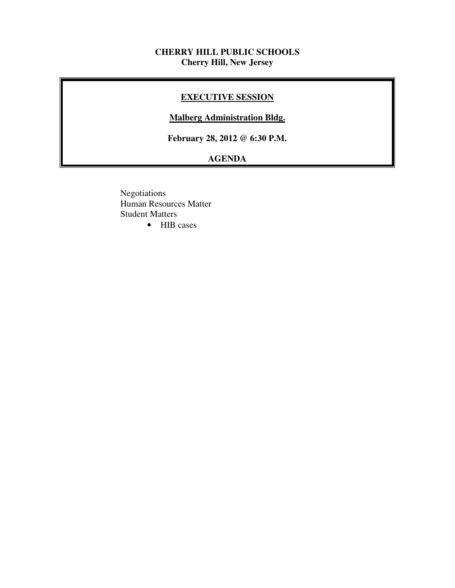# **CHERRY HILL PUBLIC SCHOOLS Cherry Hill, New Jersey**

# **EXECUTIVE SESSION**

#### **Malberg Administration Bldg.**

 **February 28, 2012 @ 6:30 P.M.** 

# **AGENDA**

 • HIB cases Negotiations Human Resources Matter Student Matters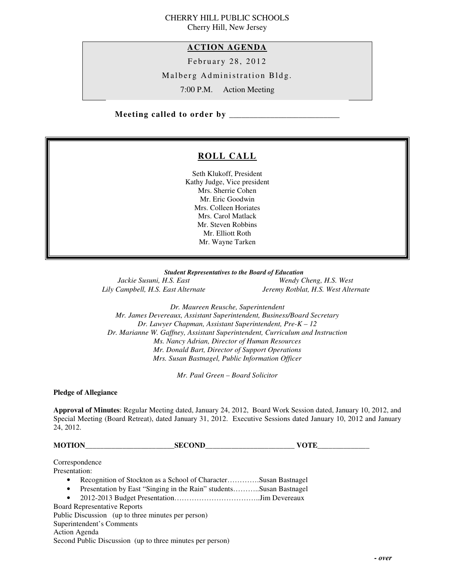#### CHERRY HILL PUBLIC SCHOOLS Cherry Hill, New Jersey

 **ACTION AGENDA** 

February 28, 2012

Malberg Administration Bldg.

7:00 P.M. Action Meeting

 **Meeting called to order by \_\_\_\_\_\_\_\_\_\_\_\_\_\_\_\_\_\_\_\_\_\_\_\_\_\_\_** 

# **ROLL CALL**

 Seth Klukoff, President Kathy Judge, Vice president Mrs. Sherrie Cohen Mr. Eric Goodwin Mrs. Colleen Horiates Mrs. Carol Matlack Mr. Steven Robbins Mr. Elliott Roth Mr. Wayne Tarken

 *Student Representatives to the Board of Education*  Jackie Susuni, H.S. East Lily Campbell, H.S. East Alternate

*Wendy Cheng, H.S. West Lily Campbell, H.S. East Alternate Jeremy Rotblat, H.S. West Alternate* 

 *Dr. Maureen Reusche, Superintendent Mr. James Devereaux, Assistant Superintendent, Business/Board Secretary Dr. Lawyer Chapman, Assistant Superintendent, Pre-K – 12 Dr. Marianne W. Gaffney, Assistant Superintendent, Curriculum and Instruction Ms. Nancy Adrian, Director of Human Resources Mr. Donald Bart, Director of Support Operations Mrs. Susan Bastnagel, Public Information Officer* 

 *Mr. Paul Green – Board Solicitor* 

 **Pledge of Allegiance** 

 **Approval of Minutes**: Regular Meeting dated, January 24, 2012, Board Work Session dated, January 10, 2012, and Special Meeting (Board Retreat), dated January 31, 2012. Executive Sessions dated January 10, 2012 and January 24, 2012.

| <b>MOTION</b> | <b>SECOND</b>                                                      | VOTE |
|---------------|--------------------------------------------------------------------|------|
|               | Correspondence                                                     |      |
| Presentation: |                                                                    |      |
| $\bullet$     | Recognition of Stockton as a School of CharacterSusan Bastnagel    |      |
| $\bullet$     | Presentation by East "Singing in the Rain" studentsSusan Bastnagel |      |
| $\bullet$     |                                                                    |      |
|               | <b>Board Representative Reports</b>                                |      |

 Public Discussion (up to three minutes per person) Superintendent's Comments Action Agenda Second Public Discussion (up to three minutes per person)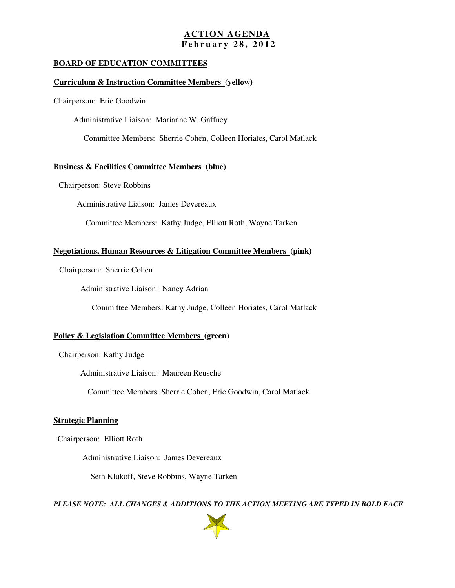# **ACTION AGENDA F e b r u a r y 2 8 , 2 0 1 2**

#### **BOARD OF EDUCATION COMMITTEES**

#### **Curriculum & Instruction Committee Members (yellow)**

Chairperson: Eric Goodwin

Administrative Liaison: Marianne W. Gaffney

Committee Members: Sherrie Cohen, Colleen Horiates, Carol Matlack

#### **Business & Facilities Committee Members (blue)**

Chairperson: Steve Robbins

Administrative Liaison: James Devereaux

Committee Members: Kathy Judge, Elliott Roth, Wayne Tarken

#### **Negotiations, Human Resources & Litigation Committee Members (pink)**

Chairperson: Sherrie Cohen

Administrative Liaison: Nancy Adrian

Committee Members: Kathy Judge, Colleen Horiates, Carol Matlack

#### **Policy & Legislation Committee Members (green)**

Chairperson: Kathy Judge

Administrative Liaison: Maureen Reusche

Committee Members: Sherrie Cohen, Eric Goodwin, Carol Matlack

#### **Strategic Planning**

Chairperson: Elliott Roth

Administrative Liaison: James Devereaux

Seth Klukoff, Steve Robbins, Wayne Tarken

 *PLEASE NOTE: ALL CHANGES & ADDITIONS TO THE ACTION MEETING ARE TYPED IN BOLD FACE* 

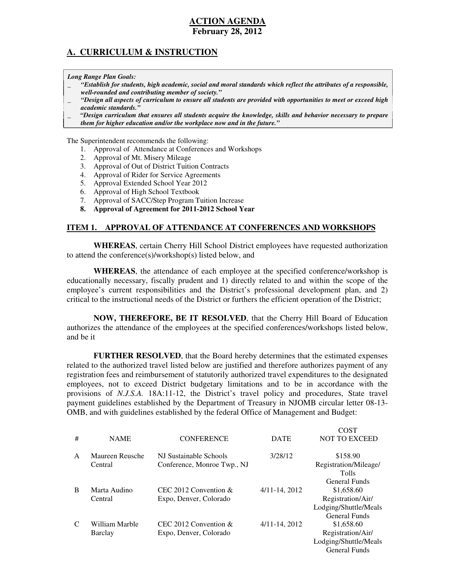# **ACTION AGENDA**

#### **February 28, 2012**

# **A. CURRICULUM & INSTRUCTION**

 *Long Range Plan Goals:* 

- \_ *"Establish for students, high academic, social and moral standards which reflect the attributes of a responsible, well-rounded and contributing member of society."*
- \_ *"Design all aspects of curriculum to ensure all students are provided with opportunities to meet or exceed high academic standards."*
- \_ *"Design curriculum that ensures all students acquire the knowledge, skills and behavior necessary to prepare*
- *them for higher education and/or the workplace now and in the future."*

The Superintendent recommends the following:

- 1. Approval of Attendance at Conferences and Workshops
- 2. Approval of Mt. Misery Mileage
- 3. Approval of Out of District Tuition Contracts
- 4. Approval of Rider for Service Agreements
- 5. Approval Extended School Year 2012
- 6. Approval of High School Textbook
- 7. Approval of SACC/Step Program Tuition Increase
- **8. Approval of Agreement for 2011-2012 School Year**

#### **ITEM 1. APPROVAL OF ATTENDANCE AT CONFERENCES AND WORKSHOPS**

 **WHEREAS**, certain Cherry Hill School District employees have requested authorization to attend the conference(s)/workshop(s) listed below, and

 **WHEREAS**, the attendance of each employee at the specified conference/workshop is educationally necessary, fiscally prudent and 1) directly related to and within the scope of the employee's current responsibilities and the District's professional development plan, and 2) critical to the instructional needs of the District or furthers the efficient operation of the District;

 **NOW, THEREFORE, BE IT RESOLVED**, that the Cherry Hill Board of Education authorizes the attendance of the employees at the specified conferences/workshops listed below, and be it

 **FURTHER RESOLVED**, that the Board hereby determines that the estimated expenses related to the authorized travel listed below are justified and therefore authorizes payment of any registration fees and reimbursement of statutorily authorized travel expenditures to the designated employees, not to exceed District budgetary limitations and to be in accordance with the provisions of *N.J.S.A.* 18A:11-12, the District's travel policy and procedures, State travel payment guidelines established by the Department of Treasury in NJOMB circular letter 08-13 OMB, and with guidelines established by the federal Office of Management and Budget:

 $\sim$ 

|              |                 |                             |                    | COST                  |
|--------------|-----------------|-----------------------------|--------------------|-----------------------|
| #            | <b>NAME</b>     | <b>CONFERENCE</b>           | <b>DATE</b>        | <b>NOT TO EXCEED</b>  |
|              |                 |                             |                    |                       |
| $\mathsf{A}$ | Maureen Reusche | NJ Sustainable Schools      | 3/28/12            | \$158.90              |
|              | Central         | Conference, Monroe Twp., NJ |                    | Registration/Mileage/ |
|              |                 |                             |                    | <b>Tolls</b>          |
|              |                 |                             |                    | General Funds         |
| B            | Marta Audino    | CEC 2012 Convention $\&$    | $4/11 - 14$ , 2012 | \$1,658.60            |
|              | Central         | Expo, Denver, Colorado      |                    | Registration/Air/     |
|              |                 |                             |                    | Lodging/Shuttle/Meals |
|              |                 |                             |                    | General Funds         |
| C            | William Marble  | CEC 2012 Convention $&$     | $4/11 - 14$ , 2012 | \$1,658.60            |
|              | Barclay         | Expo, Denver, Colorado      |                    | Registration/Air/     |
|              |                 |                             |                    | Lodging/Shuttle/Meals |
|              |                 |                             |                    | <b>General Funds</b>  |
|              |                 |                             |                    |                       |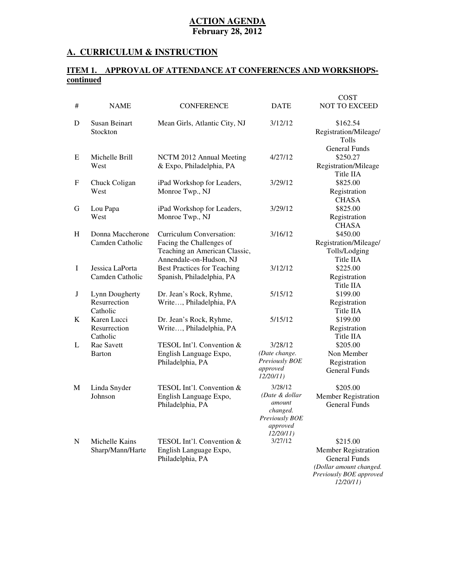#### **A. CURRICULUM & INSTRUCTION**

#### **ITEM 1. APPROVAL OF ATTENDANCE AT CONFERENCES AND WORKSHOPScontinued**

|   |                                            |                                                                                                                  |                                                                                           | <b>COST</b>                                                                                                        |
|---|--------------------------------------------|------------------------------------------------------------------------------------------------------------------|-------------------------------------------------------------------------------------------|--------------------------------------------------------------------------------------------------------------------|
| # | <b>NAME</b>                                | <b>CONFERENCE</b>                                                                                                | <b>DATE</b>                                                                               | <b>NOT TO EXCEED</b>                                                                                               |
| D | <b>Susan Beinart</b><br>Stockton           | Mean Girls, Atlantic City, NJ                                                                                    | 3/12/12                                                                                   | \$162.54<br>Registration/Mileage/<br>Tolls                                                                         |
| E | Michelle Brill<br>West                     | NCTM 2012 Annual Meeting<br>& Expo, Philadelphia, PA                                                             | 4/27/12                                                                                   | <b>General Funds</b><br>\$250.27<br>Registration/Mileage<br>Title IIA                                              |
| F | Chuck Coligan<br>West                      | iPad Workshop for Leaders,<br>Monroe Twp., NJ                                                                    | 3/29/12                                                                                   | \$825.00<br>Registration<br><b>CHASA</b>                                                                           |
| G | Lou Papa<br>West                           | iPad Workshop for Leaders,<br>Monroe Twp., NJ                                                                    | 3/29/12                                                                                   | \$825.00<br>Registration<br><b>CHASA</b>                                                                           |
| H | Donna Maccherone<br>Camden Catholic        | Curriculum Conversation:<br>Facing the Challenges of<br>Teaching an American Classic,<br>Annendale-on-Hudson, NJ | 3/16/12                                                                                   | \$450.00<br>Registration/Mileage/<br>Tolls/Lodging<br>Title IIA                                                    |
| I | Jessica LaPorta<br>Camden Catholic         | <b>Best Practices for Teaching</b><br>Spanish, Philadelphia, PA                                                  | 3/12/12                                                                                   | \$225.00<br>Registration<br>Title IIA                                                                              |
| J | Lynn Dougherty<br>Resurrection<br>Catholic | Dr. Jean's Rock, Ryhme,<br>Write, Philadelphia, PA                                                               | 5/15/12                                                                                   | \$199.00<br>Registration<br>Title IIA                                                                              |
| K | Karen Lucci<br>Resurrection<br>Catholic    | Dr. Jean's Rock, Ryhme,<br>Write, Philadelphia, PA                                                               | 5/15/12                                                                                   | \$199.00<br>Registration<br>Title IIA                                                                              |
| L | Rae Savett<br>Barton                       | TESOL Int'l. Convention &<br>English Language Expo,<br>Philadelphia, PA                                          | 3/28/12<br>(Date change.<br>Previously BOE<br>approved<br>12/20/11)                       | \$205.00<br>Non Member<br>Registration<br><b>General Funds</b>                                                     |
| M | Linda Snyder<br>Johnson                    | TESOL Int'l. Convention &<br>English Language Expo,<br>Philadelphia, PA                                          | 3/28/12<br>(Date & dollar<br>amount<br>changed.<br>Previously BOE<br>approved<br>12/20/11 | \$205.00<br><b>Member Registration</b><br><b>General Funds</b>                                                     |
| N | Michelle Kains<br>Sharp/Mann/Harte         | TESOL Int'l. Convention &<br>English Language Expo,<br>Philadelphia, PA                                          | 3/27/12                                                                                   | \$215.00<br>Member Registration<br>General Funds<br>(Dollar amount changed.<br>Previously BOE approved<br>12/20/11 |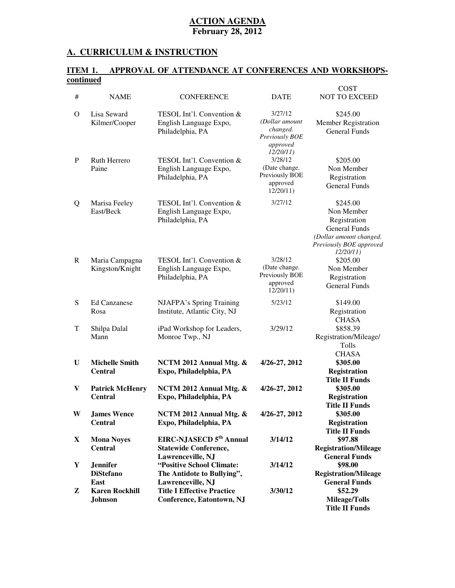#### **A. CURRICULUM & INSTRUCTION**

#### **ITEM 1. APPROVAL OF ATTENDANCE AT CONFERENCES AND WORKSHOPScontinued**

|             |                                             |                                                                                          |                                                                                 | <b>COST</b>                                                                                                                      |
|-------------|---------------------------------------------|------------------------------------------------------------------------------------------|---------------------------------------------------------------------------------|----------------------------------------------------------------------------------------------------------------------------------|
| #           | <b>NAME</b>                                 | <b>CONFERENCE</b>                                                                        | <b>DATE</b>                                                                     | <b>NOT TO EXCEED</b>                                                                                                             |
| $\Omega$    | Lisa Seward<br>Kilmer/Cooper                | TESOL Int'l. Convention &<br>English Language Expo,<br>Philadelphia, PA                  | 3/27/12<br>(Dollar amount<br>changed.<br>Previously BOE<br>approved<br>12/20/11 | \$245.00<br>Member Registration<br><b>General Funds</b>                                                                          |
| $\mathbf P$ | Ruth Herrero<br>Paine                       | TESOL Int'l. Convention &<br>English Language Expo,<br>Philadelphia, PA                  | 3/28/12<br>(Date change.<br>Previously BOE<br>approved<br>12/20/11              | \$205.00<br>Non Member<br>Registration<br><b>General Funds</b>                                                                   |
| Q           | Marisa Feeley<br>East/Beck                  | TESOL Int'l. Convention &<br>English Language Expo,<br>Philadelphia, PA                  | 3/27/12                                                                         | \$245.00<br>Non Member<br>Registration<br><b>General Funds</b><br>(Dollar amount changed.<br>Previously BOE approved<br>12/20/11 |
| R           | Maria Campagna<br>Kingston/Knight           | TESOL Int'l. Convention &<br>English Language Expo,<br>Philadelphia, PA                  | 3/28/12<br>(Date change.<br>Previously BOE<br>approved<br>12/20/11              | \$205.00<br>Non Member<br>Registration<br><b>General Funds</b>                                                                   |
| S           | <b>Ed Canzanese</b><br>Rosa                 | NJAFPA's Spring Training<br>Institute, Atlantic City, NJ                                 | 5/23/12                                                                         | \$149.00<br>Registration<br><b>CHASA</b>                                                                                         |
| T           | Shilpa Dalal<br>Mann                        | iPad Workshop for Leaders,<br>Monroe Twp., NJ                                            | 3/29/12                                                                         | \$858.39<br>Registration/Mileage/<br>Tolls<br><b>CHASA</b>                                                                       |
| U           | <b>Michelle Smith</b><br><b>Central</b>     | NCTM 2012 Annual Mtg. &<br>Expo, Philadelphia, PA                                        | 4/26-27, 2012                                                                   | \$305.00<br><b>Registration</b><br><b>Title II Funds</b>                                                                         |
| V           | <b>Patrick McHenry</b><br><b>Central</b>    | NCTM 2012 Annual Mtg. &<br>Expo, Philadelphia, PA                                        | 4/26-27, 2012                                                                   | \$305.00<br><b>Registration</b><br><b>Title II Funds</b>                                                                         |
| W           | <b>James Wence</b><br><b>Central</b>        | NCTM 2012 Annual Mtg. &<br>Expo, Philadelphia, PA                                        | 4/26-27, 2012                                                                   | \$305.00<br><b>Registration</b><br><b>Title II Funds</b>                                                                         |
| X           | <b>Mona Noyes</b><br><b>Central</b>         | EIRC-NJASECD 5 <sup>th</sup> Annual<br><b>Statewide Conference,</b><br>Lawrenceville, NJ | 3/14/12                                                                         | \$97.88<br><b>Registration/Mileage</b><br><b>General Funds</b>                                                                   |
| Y           | <b>Jennifer</b><br><b>DiStefano</b><br>East | "Positive School Climate:<br>The Antidote to Bullying",<br>Lawrenceville, NJ             | 3/14/12                                                                         | \$98.00<br><b>Registration/Mileage</b><br><b>General Funds</b>                                                                   |
| Z           | <b>Karen Rockhill</b><br><b>Johnson</b>     | <b>Title I Effective Practice</b><br>Conference, Eatontown, NJ                           | 3/30/12                                                                         | \$52.29<br><b>Mileage/Tolls</b><br><b>Title II Funds</b>                                                                         |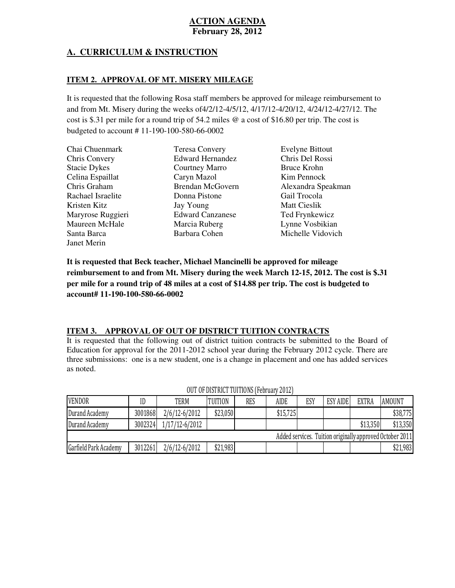# **A. CURRICULUM & INSTRUCTION**

# **ITEM 2. APPROVAL OF MT. MISERY MILEAGE**

 It is requested that the following Rosa staff members be approved for mileage reimbursement to and from Mt. Misery during the weeks of4/2/12-4/5/12, 4/17/12-4/20/12, 4/24/12-4/27/12. The cost is \$.31 per mile for a round trip of 54.2 miles @ a cost of \$16.80 per trip. The cost is budgeted to account # 11-190-100-580-66-0002

| Chai Chuenmark       | <b>Teresa Convery</b>   | <b>Evelyne Bittout</b> |
|----------------------|-------------------------|------------------------|
| <b>Chris Convery</b> | <b>Edward Hernandez</b> | Chris Del Rossi        |
| <b>Stacie Dykes</b>  | Courtney Marro          | Bruce Krohn            |
| Celina Espaillat     | Caryn Mazol             | Kim Pennock            |
| Chris Graham         | <b>Brendan McGovern</b> | Alexandra Speakman     |
| Rachael Israelite    | Donna Pistone           | Gail Trocola           |
| Kristen Kitz         | Jay Young               | <b>Matt Cieslik</b>    |
| Maryrose Ruggieri    | <b>Edward Canzanese</b> | Ted Frynkewicz         |
| Maureen McHale       | Marcia Ruberg           | Lynne Vosbikian        |
| Santa Barca          | Barbara Cohen           | Michelle Vidovich      |
| Janet Merin          |                         |                        |

 **It is requested that Beck teacher, Michael Mancinelli be approved for mileage reimbursement to and from Mt. Misery during the week March 12-15, 2012. The cost is \$.31 per mile for a round trip of 48 miles at a cost of \$14.88 per trip. The cost is budgeted to account# 11-190-100-580-66-0002** 

# **ITEM 3. APPROVAL OF OUT OF DISTRICT TUITION CONTRACTS**

 It is requested that the following out of district tuition contracts be submitted to the Board of Education for approval for the 2011-2012 school year during the February 2012 cycle. There are three submissions: one is a new student, one is a change in placement and one has added services as noted.

| <b>VENDOR</b>                                            | ID      | TERM           | <b>TUITION</b> | RES | <b>AIDE</b> | ESY | <b>ESY AIDE</b> | <b>EXTRA</b> | <b>AMOUNT</b> |
|----------------------------------------------------------|---------|----------------|----------------|-----|-------------|-----|-----------------|--------------|---------------|
| Durand Academy                                           | 3001868 | 2/6/12-6/2012  | \$23,050       |     | \$15,725    |     |                 |              | \$38,775      |
| Durand Academy                                           | 3002324 | 1/17/12-6/2012 |                |     |             |     |                 | \$13,350     | \$13,350      |
| Added services. Tuition originally approved October 2011 |         |                |                |     |             |     |                 |              |               |
| Garfield Park Academy                                    | 3012261 | 2/6/12-6/2012  | \$21,983       |     |             |     |                 |              | \$21,983      |

# OUT OF DISTRICT TUITIONS (February 2012)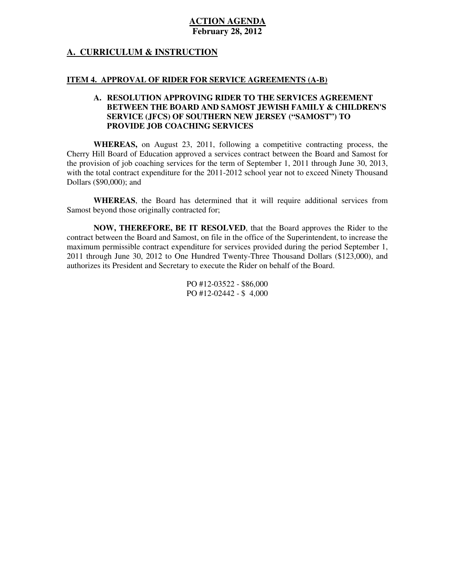# **A. CURRICULUM & INSTRUCTION**

#### **ITEM 4. APPROVAL OF RIDER FOR SERVICE AGREEMENTS (A-B)**

#### **A. RESOLUTION APPROVING RIDER TO THE SERVICES AGREEMENT BETWEEN THE BOARD AND SAMOST JEWISH FAMILY & CHILDREN'S SERVICE (JFCS) OF SOUTHERN NEW JERSEY ("SAMOST") TO PROVIDE JOB COACHING SERVICES**

 **WHEREAS,** on August 23, 2011, following a competitive contracting process, the Cherry Hill Board of Education approved a services contract between the Board and Samost for the provision of job coaching services for the term of September 1, 2011 through June 30, 2013, with the total contract expenditure for the 2011-2012 school year not to exceed Ninety Thousand Dollars (\$90,000); and

 **WHEREAS**, the Board has determined that it will require additional services from Samost beyond those originally contracted for;

 **NOW, THEREFORE, BE IT RESOLVED**, that the Board approves the Rider to the contract between the Board and Samost, on file in the office of the Superintendent, to increase the maximum permissible contract expenditure for services provided during the period September 1, 2011 through June 30, 2012 to One Hundred Twenty-Three Thousand Dollars (\$123,000), and authorizes its President and Secretary to execute the Rider on behalf of the Board.

> PO #12-03522 - \$86,000 PO #12-02442 - \$ 4,000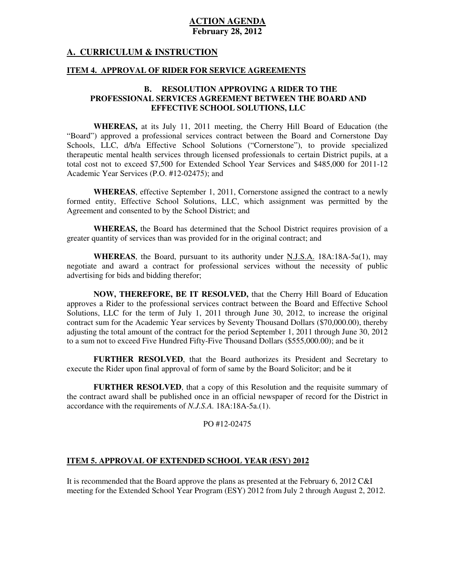#### **A. CURRICULUM & INSTRUCTION**

#### **ITEM 4. APPROVAL OF RIDER FOR SERVICE AGREEMENTS**

#### **B. RESOLUTION APPROVING A RIDER TO THE PROFESSIONAL SERVICES AGREEMENT BETWEEN THE BOARD AND EFFECTIVE SCHOOL SOLUTIONS, LLC**

 **WHEREAS,** at its July 11, 2011 meeting, the Cherry Hill Board of Education (the "Board") approved a professional services contract between the Board and Cornerstone Day Schools, LLC, d/b/a Effective School Solutions ("Cornerstone"), to provide specialized therapeutic mental health services through licensed professionals to certain District pupils, at a total cost not to exceed \$7,500 for Extended School Year Services and \$485,000 for 2011-12 Academic Year Services (P.O. #12-02475); and

 **WHEREAS**, effective September 1, 2011, Cornerstone assigned the contract to a newly formed entity, Effective School Solutions, LLC, which assignment was permitted by the Agreement and consented to by the School District; and

WHEREAS, the Board has determined that the School District requires provision of a greater quantity of services than was provided for in the original contract; and

 **WHEREAS**, the Board, pursuant to its authority under N.J.S.A. 18A:18A-5a(1), may negotiate and award a contract for professional services without the necessity of public advertising for bids and bidding therefor;

 **NOW, THEREFORE, BE IT RESOLVED,** that the Cherry Hill Board of Education approves a Rider to the professional services contract between the Board and Effective School Solutions, LLC for the term of July 1, 2011 through June 30, 2012, to increase the original contract sum for the Academic Year services by Seventy Thousand Dollars (\$70,000.00), thereby adjusting the total amount of the contract for the period September 1, 2011 through June 30, 2012 to a sum not to exceed Five Hundred Fifty-Five Thousand Dollars (\$555,000.00); and be it

 **FURTHER RESOLVED**, that the Board authorizes its President and Secretary to execute the Rider upon final approval of form of same by the Board Solicitor; and be it

 **FURTHER RESOLVED**, that a copy of this Resolution and the requisite summary of the contract award shall be published once in an official newspaper of record for the District in accordance with the requirements of *N.J.S.A.* 18A:18A-5a.(1).

#### PO #12-02475

#### **ITEM 5. APPROVAL OF EXTENDED SCHOOL YEAR (ESY) 2012**

 It is recommended that the Board approve the plans as presented at the February 6, 2012 C&I meeting for the Extended School Year Program (ESY) 2012 from July 2 through August 2, 2012.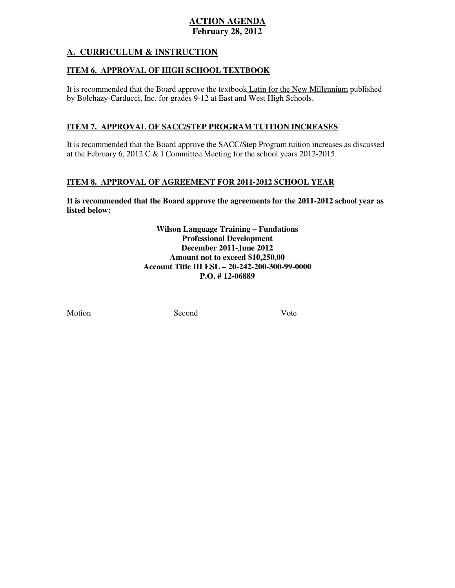# **A. CURRICULUM & INSTRUCTION**

#### **ITEM 6. APPROVAL OF HIGH SCHOOL TEXTBOOK**

It is recommended that the Board approve the textbook *Latin for the New Millennium* published by Bolchazy-Carducci, Inc. for grades 9-12 at East and West High Schools.

## **ITEM 7. APPROVAL OF SACC/STEP PROGRAM TUITION INCREASES**

 It is recommended that the Board approve the SACC/Step Program tuition increases as discussed at the February 6, 2012 C & I Committee Meeting for the school years 2012-2015.

# **ITEM 8. APPROVAL OF AGREEMENT FOR 2011-2012 SCHOOL YEAR**

 **It is recommended that the Board approve the agreements for the 2011-2012 school year as listed below:** 

> **Wilson Language Training – Fundations December 2011-June 2012 Amount not to exceed \$10,250,00 Account Title III ESL – 20-242-200-300-99-0000 P.O. # 12-06889 Professional Development**

| Motion | cond<br>ית א | ote |
|--------|--------------|-----|
|        |              |     |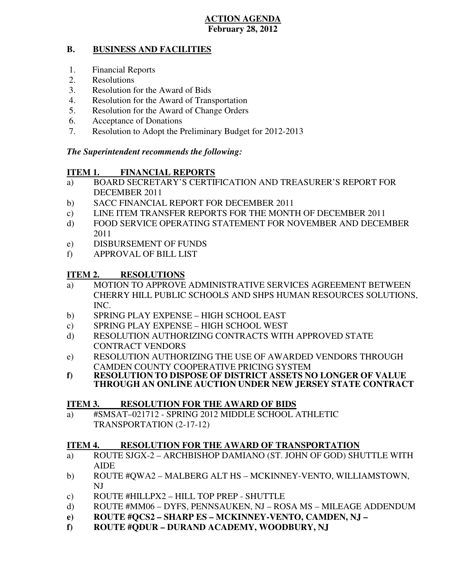#### **B. BUSINESS AND FACILITIES**

- 1. Financial Reports
- 2. Resolutions
- 3. Resolution for the Award of Bids
- 4. Resolution for the Award of Transportation
- 5. Resolution for the Award of Change Orders
- 6. Acceptance of Donations
- 7. Resolution to Adopt the Preliminary Budget for 2012-2013

# *The Superintendent recommends the following:*

#### **ITEM 1. FINANCIAL REPORTS**

- a) BOARD SECRETARY'S CERTIFICATION AND TREASURER'S REPORT FOR DECEMBER 2011
- b) SACC FINANCIAL REPORT FOR DECEMBER 2011
- $\mathbf{c}$ ) LINE ITEM TRANSFER REPORTS FOR THE MONTH OF DECEMBER 2011
- d) FOOD SERVICE OPERATING STATEMENT FOR NOVEMBER AND DECEMBER 2011
- e) DISBURSEMENT OF FUNDS
- f) APPROVAL OF BILL LIST

#### **ITEM 2. RESOLUTIONS**

- a) MOTION TO APPROVE ADMINISTRATIVE SERVICES AGREEMENT BETWEEN CHERRY HILL PUBLIC SCHOOLS AND SHPS HUMAN RESOURCES SOLUTIONS, INC.
- b) SPRING PLAY EXPENSE HIGH SCHOOL EAST
- c) SPRING PLAY EXPENSE HIGH SCHOOL WEST
- d) RESOLUTION AUTHORIZING CONTRACTS WITH APPROVED STATE CONTRACT VENDORS
- e) RESOLUTION AUTHORIZING THE USE OF AWARDED VENDORS THROUGH CAMDEN COUNTY COOPERATIVE PRICING SYSTEM
- **f) RESOLUTION TO DISPOSE OF DISTRICT ASSETS NO LONGER OF VALUE THROUGH AN ONLINE AUCTION UNDER NEW JERSEY STATE CONTRACT**

#### **ITEM 3. RESOLUTION FOR THE AWARD OF BIDS**

 a) #SMSAT–021712 - SPRING 2012 MIDDLE SCHOOL ATHLETIC TRANSPORTATION (2-17-12)

#### **ITEM 4. RESOLUTION FOR THE AWARD OF TRANSPORTATION**

- a) ROUTE SJGX-2 ARCHBISHOP DAMIANO (ST. JOHN OF GOD) SHUTTLE WITH AIDE
- b) ROUTE #QWA2 MALBERG ALT HS MCKINNEY-VENTO, WILLIAMSTOWN, NJ
- c) ROUTE #HILLPX2 HILL TOP PREP SHUTTLE
- d) ROUTE #MM06 DYFS, PENNSAUKEN, NJ ROSA MS MILEAGE ADDENDUM
- **e) ROUTE #QCS2 SHARP ES MCKINNEY-VENTO, CAMDEN, NJ**
- **f) ROUTE #QDUR DURAND ACADEMY, WOODBURY, NJ**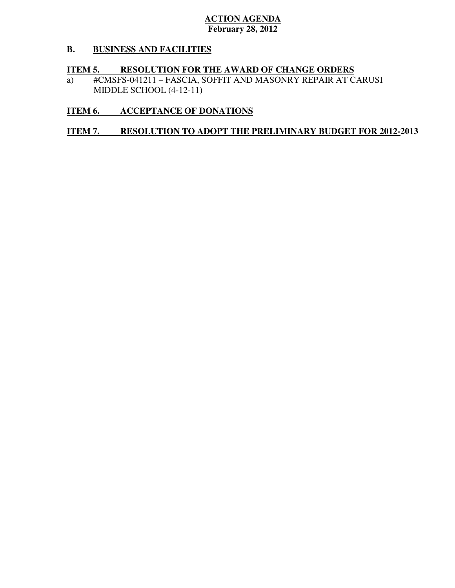#### **B. B. BUSINESS AND FACILITIES**

# **ITEM 5. RESOLUTION FOR THE AWARD OF CHANGE ORDERS**

 a) #CMSFS-041211 – FASCIA, SOFFIT AND MASONRY REPAIR AT CARUSI MIDDLE SCHOOL (4-12-11)

# **ITEM 6. ACCEPTANCE OF DONATIONS**

#### **ITEM 7. RESOLUTION TO ADOPT THE PRELIMINARY BUDGET FOR 2012-2013**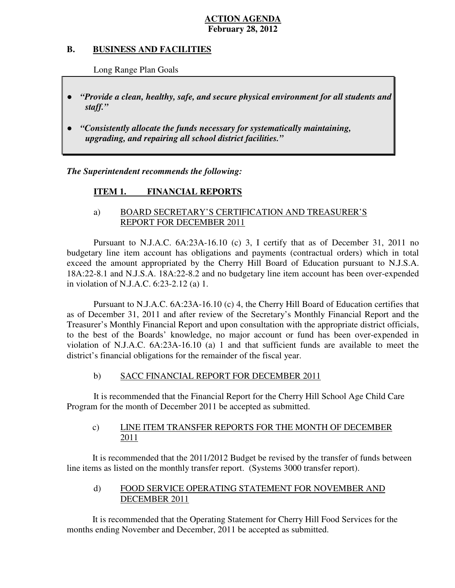#### **B. B. BUSINESS AND FACILITIES**

Long Range Plan Goals

- *"Provide a clean, healthy, safe, and secure physical environment for all students and staff."*
- *upgrading, and repairing all school district facilities."*  ● *"Consistently allocate the funds necessary for systematically maintaining,*

 *The Superintendent recommends the following:* 

#### **ITEM 1. FINANCIAL REPORTS**

# a) BOARD SECRETARY'S CERTIFICATION AND TREASURER'S REPORT FOR DECEMBER 2011

 Pursuant to N.J.A.C. 6A:23A-16.10 (c) 3, I certify that as of December 31, 2011 no budgetary line item account has obligations and payments (contractual orders) which in total exceed the amount appropriated by the Cherry Hill Board of Education pursuant to N.J.S.A. 18A:22-8.1 and N.J.S.A. 18A:22-8.2 and no budgetary line item account has been over-expended in violation of N.J.A.C. 6:23-2.12 (a) 1.

 Pursuant to N.J.A.C. 6A:23A-16.10 (c) 4, the Cherry Hill Board of Education certifies that as of December 31, 2011 and after review of the Secretary's Monthly Financial Report and the Treasurer's Monthly Financial Report and upon consultation with the appropriate district officials, to the best of the Boards' knowledge, no major account or fund has been over-expended in violation of N.J.A.C. 6A:23A-16.10 (a) 1 and that sufficient funds are available to meet the district's financial obligations for the remainder of the fiscal year.

#### $b)$ SACC FINANCIAL REPORT FOR DECEMBER 2011

 It is recommended that the Financial Report for the Cherry Hill School Age Child Care Program for the month of December 2011 be accepted as submitted.

#### $\mathbf{c}$ ) LINE ITEM TRANSFER REPORTS FOR THE MONTH OF DECEMBER 2011

 It is recommended that the 2011/2012 Budget be revised by the transfer of funds between line items as listed on the monthly transfer report. (Systems 3000 transfer report).

#### $\mathbf{d}$  DECEMBER 2011 FOOD SERVICE OPERATING STATEMENT FOR NOVEMBER AND

 It is recommended that the Operating Statement for Cherry Hill Food Services for the months ending November and December, 2011 be accepted as submitted.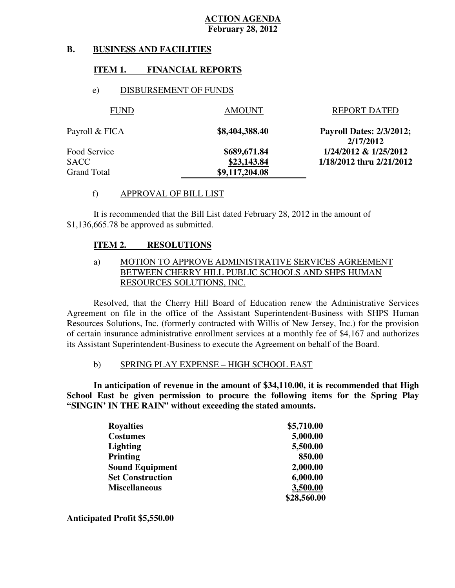#### **B. B. BUSINESS AND FACILITIES**

# **ITEM 1. FINANCIAL REPORTS**

# e) DISBURSEMENT OF FUNDS

| <b>FUND</b>    | <b>AMOUNT</b>  | <b>REPORT DATED</b>                          |
|----------------|----------------|----------------------------------------------|
| Payroll & FICA | \$8,404,388.40 | <b>Payroll Dates: 2/3/2012;</b><br>2/17/2012 |
| Food Service   | \$689,671.84   | 1/24/2012 & 1/25/2012                        |
| SACC           | \$23,143.84    | 1/18/2012 thru 2/21/2012                     |
| Grand Total    | \$9,117,204.08 |                                              |

#### f) APPROVAL OF BILL LIST

 \$1,136,665.78 be approved as submitted. It is recommended that the Bill List dated February 28, 2012 in the amount of

#### **ITEM 2. RESOLUTIONS**

# a) MOTION TO APPROVE ADMINISTRATIVE SERVICES AGREEMENT BETWEEN CHERRY HILL PUBLIC SCHOOLS AND SHPS HUMAN RESOURCES SOLUTIONS, INC.

 Resolved, that the Cherry Hill Board of Education renew the Administrative Services Agreement on file in the office of the Assistant Superintendent-Business with SHPS Human Resources Solutions, Inc. (formerly contracted with Willis of New Jersey, Inc.) for the provision of certain insurance administrative enrollment services at a monthly fee of \$4,167 and authorizes its Assistant Superintendent-Business to execute the Agreement on behalf of the Board.

#### b) SPRING PLAY EXPENSE – HIGH SCHOOL EAST

 **In anticipation of revenue in the amount of \$34,110.00, it is recommended that High School East be given permission to procure the following items for the Spring Play "SINGIN' IN THE RAIN" without exceeding the stated amounts.** 

| <b>Royalties</b>        | \$5,710.00  |
|-------------------------|-------------|
| <b>Costumes</b>         | 5,000.00    |
| <b>Lighting</b>         | 5,500.00    |
| <b>Printing</b>         | 850.00      |
| <b>Sound Equipment</b>  | 2,000.00    |
| <b>Set Construction</b> | 6,000.00    |
| <b>Miscellaneous</b>    | 3,500.00    |
|                         | \$28,560.00 |

 **Anticipated Profit \$5,550.00**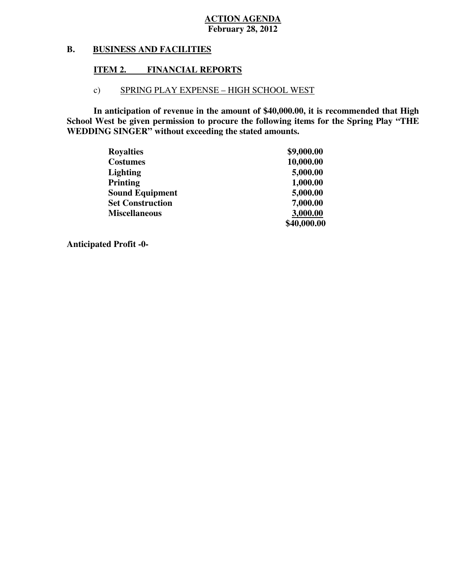#### **B. BUSINESS AND FACILITIES**

# **ITEM 2. FINANCIAL REPORTS**

# c) SPRING PLAY EXPENSE – HIGH SCHOOL WEST

 **In anticipation of revenue in the amount of \$40,000.00, it is recommended that High School West be given permission to procure the following items for the Spring Play "THE WEDDING SINGER" without exceeding the stated amounts.** 

| <b>Royalties</b>        | \$9,000.00  |
|-------------------------|-------------|
| <b>Costumes</b>         | 10,000.00   |
| <b>Lighting</b>         | 5,000.00    |
| <b>Printing</b>         | 1,000.00    |
| <b>Sound Equipment</b>  | 5,000.00    |
| <b>Set Construction</b> | 7,000.00    |
| <b>Miscellaneous</b>    | 3,000.00    |
|                         | \$40,000.00 |

 **Anticipated Profit -0**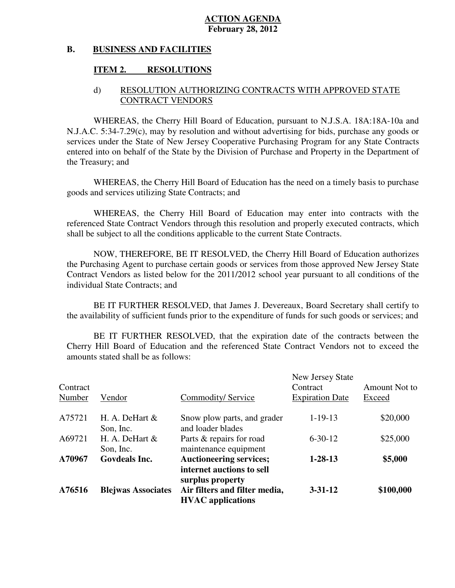#### **B. BUSINESS AND FACILITIES**

# **ITEM 2. RESOLUTIONS**

# d) RESOLUTION AUTHORIZING CONTRACTS WITH APPROVED STATE CONTRACT VENDORS

 WHEREAS, the Cherry Hill Board of Education, pursuant to N.J.S.A. 18A:18A-10a and N.J.A.C. 5:34-7.29(c), may by resolution and without advertising for bids, purchase any goods or services under the State of New Jersey Cooperative Purchasing Program for any State Contracts entered into on behalf of the State by the Division of Purchase and Property in the Department of the Treasury; and

 WHEREAS, the Cherry Hill Board of Education has the need on a timely basis to purchase goods and services utilizing State Contracts; and

 WHEREAS, the Cherry Hill Board of Education may enter into contracts with the referenced State Contract Vendors through this resolution and properly executed contracts, which shall be subject to all the conditions applicable to the current State Contracts.

 NOW, THEREFORE, BE IT RESOLVED, the Cherry Hill Board of Education authorizes the Purchasing Agent to purchase certain goods or services from those approved New Jersey State Contract Vendors as listed below for the 2011/2012 school year pursuant to all conditions of the individual State Contracts; and

 the availability of sufficient funds prior to the expenditure of funds for such goods or services; and BE IT FURTHER RESOLVED, that James J. Devereaux, Board Secretary shall certify to

 Cherry Hill Board of Education and the referenced State Contract Vendors not to exceed the amounts stated shall be as follows: BE IT FURTHER RESOLVED, that the expiration date of the contracts between the

| A76516             | <b>Blejwas Associates</b>     | internet auctions to sell<br>surplus property<br>Air filters and filter media,<br><b>HVAC</b> applications | $3 - 31 - 12$                                          | \$100,000               |
|--------------------|-------------------------------|------------------------------------------------------------------------------------------------------------|--------------------------------------------------------|-------------------------|
| A70967             | <b>Govdeals Inc.</b>          | <b>Auctioneering services;</b>                                                                             | $1 - 28 - 13$                                          | \$5,000                 |
|                    | Son, Inc.                     | maintenance equipment                                                                                      |                                                        |                         |
| A69721             | Son, Inc.<br>H. A. DeHart $&$ | and loader blades<br>Parts & repairs for road                                                              | $6 - 30 - 12$                                          | \$25,000                |
| A75721             | $H. A. DeHart \&$             | Snow plow parts, and grader                                                                                | $1-19-13$                                              | \$20,000                |
| Contract<br>Number | Vendor                        | Commodity/Service                                                                                          | New Jersey State<br>Contract<br><b>Expiration Date</b> | Amount Not to<br>Exceed |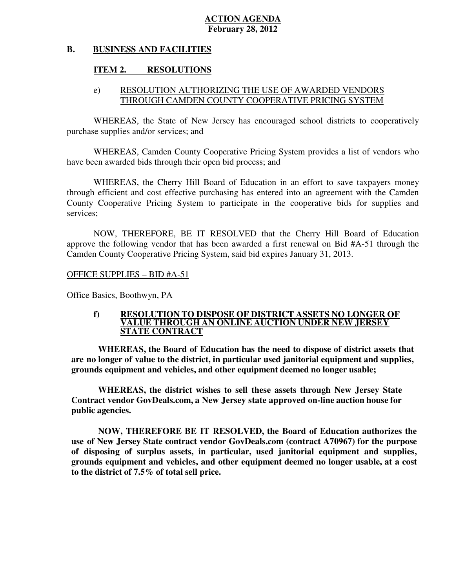#### **B. BUSINESS AND FACILITIES**

# **ITEM 2. RESOLUTIONS**

# e) RESOLUTION AUTHORIZING THE USE OF AWARDED VENDORS THROUGH CAMDEN COUNTY COOPERATIVE PRICING SYSTEM

 WHEREAS, the State of New Jersey has encouraged school districts to cooperatively purchase supplies and/or services; and

 WHEREAS, Camden County Cooperative Pricing System provides a list of vendors who have been awarded bids through their open bid process; and

 WHEREAS, the Cherry Hill Board of Education in an effort to save taxpayers money through efficient and cost effective purchasing has entered into an agreement with the Camden County Cooperative Pricing System to participate in the cooperative bids for supplies and services;

 NOW, THEREFORE, BE IT RESOLVED that the Cherry Hill Board of Education approve the following vendor that has been awarded a first renewal on Bid #A-51 through the Camden County Cooperative Pricing System, said bid expires January 31, 2013.

OFFICE SUPPLIES – BID #A-51

Office Basics, Boothwyn, PA

#### **f) RESOLUTION TO DISPOSE OF DISTRICT ASSETS NO LONGER OF VALUE THROUGH AN ONLINE AUCTION UNDER NEW JERSEY STATE CONTRACT**

 **WHEREAS, the Board of Education has the need to dispose of district assets that are no longer of value to the district, in particular used janitorial equipment and supplies, grounds equipment and vehicles, and other equipment deemed no longer usable;** 

WHEREAS, the district wishes to sell these assets through New Jersey State  **Contract vendor GovDeals.com, a New Jersey state approved on-line auction house for public agencies.** 

 **NOW, THEREFORE BE IT RESOLVED, the Board of Education authorizes the use of New Jersey State contract vendor GovDeals.com (contract A70967) for the purpose of disposing of surplus assets, in particular, used janitorial equipment and supplies, grounds equipment and vehicles, and other equipment deemed no longer usable, at a cost to the district of 7.5% of total sell price.**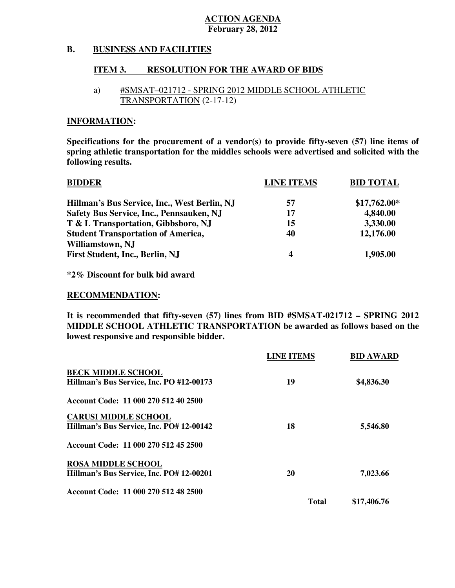#### **B. BUSINESS AND FACILITIES**

# **ITEM 3. RESOLUTION FOR THE AWARD OF BIDS**

# a) #SMSAT–021712 - SPRING 2012 MIDDLE SCHOOL ATHLETIC TRANSPORTATION (2-17-12)

### **INFORMATION:**

 **Specifications for the procurement of a vendor(s) to provide fifty-seven (57) line items of spring athletic transportation for the middles schools were advertised and solicited with the following results.** 

| <b>BIDDER</b>                                | <b>LINE ITEMS</b> | <b>BID TOTAL</b> |
|----------------------------------------------|-------------------|------------------|
| Hillman's Bus Service, Inc., West Berlin, NJ | 57                | $$17,762.00*$    |
| Safety Bus Service, Inc., Pennsauken, NJ     | 17                | 4,840.00         |
| T & L Transportation, Gibbsboro, NJ          | 15                | 3,330.00         |
| <b>Student Transportation of America,</b>    | 40                | 12,176.00        |
| Williamstown, NJ                             |                   |                  |
| First Student, Inc., Berlin, NJ              | $\boldsymbol{4}$  | 1,905.00         |

 **\*2% Discount for bulk bid award** 

#### **RECOMMENDATION:**

 **It is recommended that fifty-seven (57) lines from BID #SMSAT-021712 – SPRING 2012 MIDDLE SCHOOL ATHLETIC TRANSPORTATION be awarded as follows based on the lowest responsive and responsible bidder.** 

|                                          | <b>LINE ITEMS</b> | <b>BID AWARD</b> |
|------------------------------------------|-------------------|------------------|
| <b>BECK MIDDLE SCHOOL</b>                |                   |                  |
| Hillman's Bus Service, Inc. PO #12-00173 | 19                | \$4,836.30       |
| Account Code: 11 000 270 512 40 2500     |                   |                  |
| <b>CARUSI MIDDLE SCHOOL</b>              |                   |                  |
| Hillman's Bus Service, Inc. PO# 12-00142 | 18                | 5,546.80         |
| Account Code: 11 000 270 512 45 2500     |                   |                  |
| <b>ROSA MIDDLE SCHOOL</b>                |                   |                  |
| Hillman's Bus Service, Inc. PO# 12-00201 | 20                | 7,023.66         |
| Account Code: 11 000 270 512 48 2500     |                   |                  |
|                                          | <b>Total</b>      | \$17,406.76      |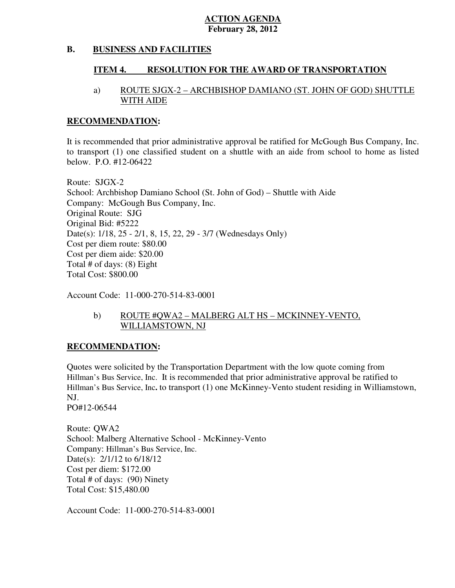#### **B. BUSINESS AND FACILITIES**

#### **ITEM 4. RESOLUTION FOR THE AWARD OF TRANSPORTATION**

# a) ROUTE SJGX-2 – ARCHBISHOP DAMIANO (ST. JOHN OF GOD) SHUTTLE WITH AIDE

#### **RECOMMENDATION:**

 It is recommended that prior administrative approval be ratified for McGough Bus Company, Inc. to transport (1) one classified student on a shuttle with an aide from school to home as listed below. P.O. #12-06422

 Route: SJGX-2 School: Archbishop Damiano School (St. John of God) – Shuttle with Aide Company: McGough Bus Company, Inc. Original Route: SJG Original Bid: #5222 Date(s): 1/18, 25 - 2/1, 8, 15, 22, 29 - 3/7 (Wednesdays Only) Cost per diem route: \$80.00 Cost per diem aide: \$20.00 Total # of days: (8) Eight Total Cost: \$800.00

Account Code: 11-000-270-514-83-0001

# b) ROUTE #QWA2 – MALBERG ALT HS – MCKINNEY-VENTO, WILLIAMSTOWN, NJ

# **RECOMMENDATION:**

 Quotes were solicited by the Transportation Department with the low quote coming from Hillman's Bus Service, Inc. It is recommended that prior administrative approval be ratified to Hillman's Bus Service, Inc**.** to transport (1) one McKinney-Vento student residing in Williamstown, NJ.

PO#12-06544

 Route: QWA2 School: Malberg Alternative School - McKinney-Vento Company: Hillman's Bus Service, Inc. Date(s): 2/1/12 to 6/18/12 Cost per diem: \$172.00 Total # of days: (90) Ninety Total Cost: \$15,480.00

Account Code: 11-000-270-514-83-0001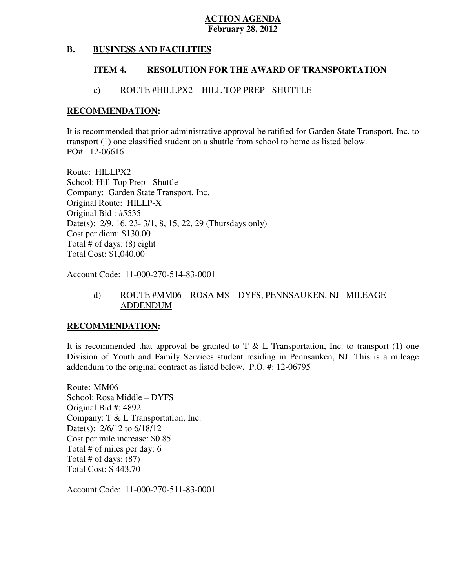#### **B. BUSINESS AND FACILITIES**

#### **ITEM 4. RESOLUTION FOR THE AWARD OF TRANSPORTATION**

# c) ROUTE #HILLPX2 – HILL TOP PREP - SHUTTLE

#### **RECOMMENDATION:**

 It is recommended that prior administrative approval be ratified for Garden State Transport, Inc. to transport (1) one classified student on a shuttle from school to home as listed below. PO#: 12-06616

 Route: HILLPX2 School: Hill Top Prep - Shuttle Company: Garden State Transport, Inc. Original Route: HILLP-X Original Bid : #5535 Date(s): 2/9, 16, 23- 3/1, 8, 15, 22, 29 (Thursdays only) Cost per diem: \$130.00 Total # of days: (8) eight Total Cost: \$1,040.00

Account Code: 11-000-270-514-83-0001

# d) ROUTE #MM06 – ROSA MS – DYFS, PENNSAUKEN, NJ –MILEAGE ADDENDUM

# **RECOMMENDATION:**

It is recommended that approval be granted to T  $\&$  L Transportation, Inc. to transport (1) one Division of Youth and Family Services student residing in Pennsauken, NJ. This is a mileage addendum to the original contract as listed below. P.O. #: 12-06795

 Route: MM06 School: Rosa Middle – DYFS Original Bid #: 4892 Company: T & L Transportation, Inc. Date(s): 2/6/12 to 6/18/12 Cost per mile increase: \$0.85 Total # of miles per day: 6 Total # of days: (87) Total Cost: \$ 443.70

Account Code: 11-000-270-511-83-0001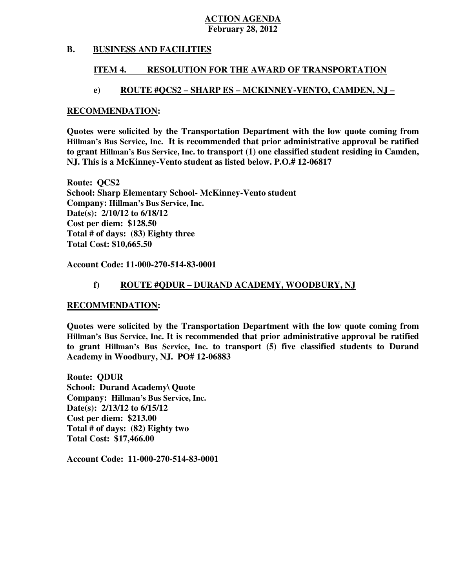#### **B. BUSINESS AND FACILITIES**

#### **ITEM 4. RESOLUTION FOR THE AWARD OF TRANSPORTATION**

# **e) ROUTE #QCS2 – SHARP ES – MCKINNEY-VENTO, CAMDEN, NJ –**

#### **RECOMMENDATION:**

 **Quotes were solicited by the Transportation Department with the low quote coming from Hillman's Bus Service, Inc. It is recommended that prior administrative approval be ratified to grant Hillman's Bus Service, Inc. to transport (1) one classified student residing in Camden, NJ. This is a McKinney-Vento student as listed below. P.O.# 12-06817** 

 **Route: QCS2 School: Sharp Elementary School- McKinney-Vento student Company: Hillman's Bus Service, Inc. Date(s): 2/10/12 to 6/18/12 Cost per diem: \$128.50 Total # of days: (83) Eighty three Total Cost: \$10,665.50** 

 **Account Code: 11-000-270-514-83-0001** 

# **f) ROUTE #QDUR – DURAND ACADEMY, WOODBURY, NJ**

# **RECOMMENDATION:**

 **Quotes were solicited by the Transportation Department with the low quote coming from Hillman's Bus Service, Inc. It is recommended that prior administrative approval be ratified to grant Hillman's Bus Service, Inc. to transport (5) five classified students to Durand Academy in Woodbury, NJ. PO# 12-06883** 

 **Route: QDUR School: Durand Academy\ Quote Company: Hillman's Bus Service, Inc. Date(s): 2/13/12 to 6/15/12 Cost per diem: \$213.00 Total # of days: (82) Eighty two Total Cost: \$17,466.00** 

 **Account Code: 11-000-270-514-83-0001**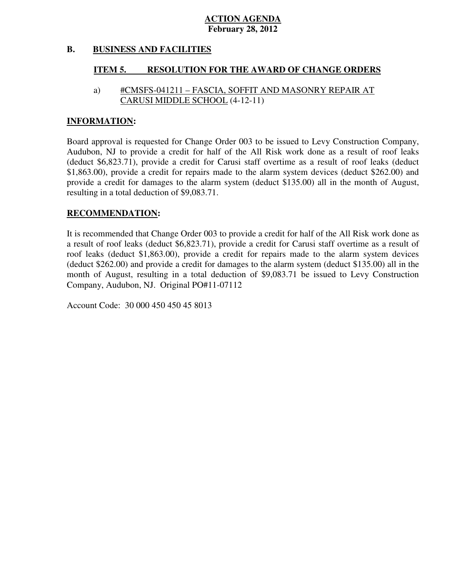#### **B. BUSINESS AND FACILITIES**

#### **ITEM 5. RESOLUTION FOR THE AWARD OF CHANGE ORDERS**

# CARUSI MIDDLE SCHOOL (4-12-11) a) #CMSFS-041211 – FASCIA, SOFFIT AND MASONRY REPAIR AT

### **INFORMATION:**

 Board approval is requested for Change Order 003 to be issued to Levy Construction Company, Audubon, NJ to provide a credit for half of the All Risk work done as a result of roof leaks (deduct \$6,823.71), provide a credit for Carusi staff overtime as a result of roof leaks (deduct \$1,863.00), provide a credit for repairs made to the alarm system devices (deduct \$262.00) and provide a credit for damages to the alarm system (deduct \$135.00) all in the month of August, resulting in a total deduction of \$9,083.71.

# **RECOMMENDATION:**

 It is recommended that Change Order 003 to provide a credit for half of the All Risk work done as a result of roof leaks (deduct \$6,823.71), provide a credit for Carusi staff overtime as a result of roof leaks (deduct \$1,863.00), provide a credit for repairs made to the alarm system devices (deduct \$262.00) and provide a credit for damages to the alarm system (deduct \$135.00) all in the month of August, resulting in a total deduction of \$9,083.71 be issued to Levy Construction Company, Audubon, NJ. Original PO#11-07112

Account Code: 30 000 450 450 45 8013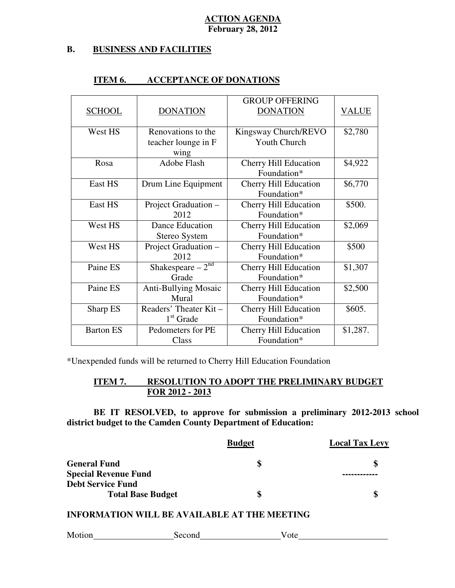#### **B. BUSINESS AND FACILITIES**

|                  |                                  | <b>GROUP OFFERING</b>        |          |
|------------------|----------------------------------|------------------------------|----------|
| <b>SCHOOL</b>    | <b>DONATION</b>                  | <b>DONATION</b>              | VALUE    |
|                  |                                  |                              |          |
| West HS          | Renovations to the               | Kingsway Church/REVO         | \$2,780  |
|                  | teacher lounge in F              | <b>Youth Church</b>          |          |
|                  | wing                             |                              |          |
| Rosa             | <b>Adobe Flash</b>               | <b>Cherry Hill Education</b> | \$4,922  |
|                  |                                  | Foundation*                  |          |
| <b>East HS</b>   | Drum Line Equipment              | <b>Cherry Hill Education</b> | \$6,770  |
|                  |                                  | Foundation*                  |          |
| <b>East HS</b>   | Project Graduation -             | <b>Cherry Hill Education</b> | \$500.   |
|                  | 2012                             | Foundation*                  |          |
| West HS          | <b>Dance Education</b>           | <b>Cherry Hill Education</b> | \$2,069  |
|                  | Stereo System                    | Foundation*                  |          |
| West HS          | Project Graduation -             | <b>Cherry Hill Education</b> | \$500    |
|                  | 2012                             | Foundation*                  |          |
| Paine ES         | Shakespeare $-2^{n\overline{d}}$ | <b>Cherry Hill Education</b> | \$1,307  |
|                  | Grade                            | Foundation*                  |          |
| Paine ES         | <b>Anti-Bullying Mosaic</b>      | <b>Cherry Hill Education</b> | \$2,500  |
|                  | Mural                            | Foundation*                  |          |
| Sharp ES         | Readers' Theater Kit-            | <b>Cherry Hill Education</b> | \$605.   |
|                  | $1st$ Grade                      | Foundation*                  |          |
| <b>Barton ES</b> | Pedometers for PE                | <b>Cherry Hill Education</b> | \$1,287. |
|                  | Class                            | Foundation*                  |          |

#### **ITEM 6. ITEM 6. ACCEPTANCE OF DONATIONS**

\*Unexpended funds will be returned to Cherry Hill Education Foundation

#### **ITEM 7. FOR 2012 - 2013 RESOLUTION TO ADOPT THE PRELIMINARY BUDGET**

 **BE IT RESOLVED, to approve for submission a preliminary 2012-2013 school district budget to the Camden County Department of Education:** 

|                             | <b>Budget</b> | <b>Local Tax Levy</b> |
|-----------------------------|---------------|-----------------------|
| <b>General Fund</b>         | S             |                       |
| <b>Special Revenue Fund</b> |               |                       |
| <b>Debt Service Fund</b>    |               |                       |
| <b>Total Base Budget</b>    | S             |                       |

# **INFORMATION WILL BE AVAILABLE AT THE MEETING**

| Motion | Second | υw |
|--------|--------|----|
|        |        |    |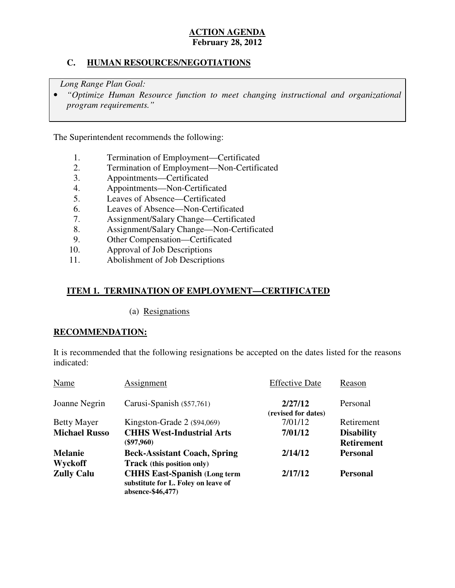# **C. HUMAN RESOURCES/NEGOTIATIONS**

*Long Range Plan Goal:* 

**•** "Optimize Human Resource function to meet changing instructional and organizational *program requirements."* 

The Superintendent recommends the following:

- 1. Termination of Employment—Certificated<br>2. Termination of Employment—Non-Certific
- 2. Termination of Employment—Non-Certificated
- 3. Appointments—Certificated
- 4. Appointments—Non-Certificated
- 5. Leaves of Absence—Certificated
- 6. Leaves of Absence—Non-Certificated
- 7. Assignment/Salary Change—Certificated
- 8. Assignment/Salary Change—Non-Certificated
- 9. Other Compensation—Certificated
- 10. Approval of Job Descriptions
- 11. Abolishment of Job Descriptions

# **ITEM 1. TERMINATION OF EMPLOYMENT—CERTIFICATED**

(a) Resignations

# **RECOMMENDATION:**

 It is recommended that the following resignations be accepted on the dates listed for the reasons indicated:

| Name                 | Assignment                                                                                       | <b>Effective Date</b>          | Reason            |
|----------------------|--------------------------------------------------------------------------------------------------|--------------------------------|-------------------|
| Joanne Negrin        | Carusi-Spanish (\$57,761)                                                                        | 2/27/12<br>(revised for dates) | Personal          |
| <b>Betty Mayer</b>   | Kingston-Grade $2$ (\$94,069)                                                                    | 7/01/12                        | Retirement        |
| <b>Michael Russo</b> | <b>CHHS West-Industrial Arts</b>                                                                 | 7/01/12                        | <b>Disability</b> |
|                      | $(\$97,960)$                                                                                     |                                | <b>Retirement</b> |
| <b>Melanie</b>       | <b>Beck-Assistant Coach, Spring</b>                                                              | 2/14/12                        | <b>Personal</b>   |
| Wyckoff              | <b>Track</b> (this position only)                                                                |                                |                   |
| <b>Zully Calu</b>    | <b>CHHS East-Spanish (Long term)</b><br>substitute for L. Foley on leave of<br>absence-\$46,477) | 2/17/12                        | <b>Personal</b>   |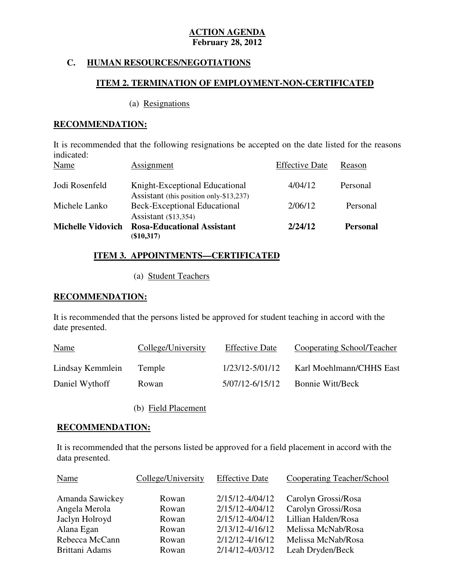# **C. HUMAN RESOURCES/NEGOTIATIONS**

# **ITEM 2. TERMINATION OF EMPLOYMENT-NON-CERTIFICATED**

#### (a) Resignations

# **RECOMMENDATION:**

 It is recommended that the following resignations be accepted on the date listed for the reasons  $\Gamma$ ffective Dete D indicated:

| Name                     | Assignment                                                                | <b>Effective Date</b> | Reason          |
|--------------------------|---------------------------------------------------------------------------|-----------------------|-----------------|
| Jodi Rosenfeld           | Knight-Exceptional Educational<br>Assistant (this position only-\$13,237) | 4/04/12               | Personal        |
| Michele Lanko            | <b>Beck-Exceptional Educational</b><br>Assistant $(13,354)$               | 2/06/12               | Personal        |
| <b>Michelle Vidovich</b> | <b>Rosa-Educational Assistant</b><br>$(\$10,317)$                         | 2/24/12               | <b>Personal</b> |

# **ITEM 3. APPOINTMENTS—CERTIFICATED**

(a) Student Teachers

# **RECOMMENDATION:**

 It is recommended that the persons listed be approved for student teaching in accord with the date presented.

| <b>Name</b>      | College/University | <b>Effective Date</b> | Cooperating School/Teacher |
|------------------|--------------------|-----------------------|----------------------------|
| Lindsay Kemmlein | Temple             | $1/23/12 - 5/01/12$   | Karl Moehlmann/CHHS East   |
| Daniel Wythoff   | Rowan              | 5/07/12-6/15/12       | <b>Bonnie Witt/Beck</b>    |

(b) Field Placement

# **RECOMMENDATION:**

 It is recommended that the persons listed be approved for a field placement in accord with the data presented.

| Name            | College/University | <b>Effective Date</b> | <b>Cooperating Teacher/School</b> |
|-----------------|--------------------|-----------------------|-----------------------------------|
| Amanda Sawickey | Rowan              | 2/15/12-4/04/12       | Carolyn Grossi/Rosa               |
| Angela Merola   | Rowan              | 2/15/12-4/04/12       | Carolyn Grossi/Rosa               |
| Jaclyn Holroyd  | Rowan              | 2/15/12-4/04/12       | Lillian Halden/Rosa               |
| Alana Egan      | Rowan              | 2/13/12-4/16/12       | Melissa McNab/Rosa                |
| Rebecca McCann  | Rowan              | 2/12/12-4/16/12       | Melissa McNab/Rosa                |
| Brittani Adams  | Rowan              | 2/14/12-4/03/12       | Leah Dryden/Beck                  |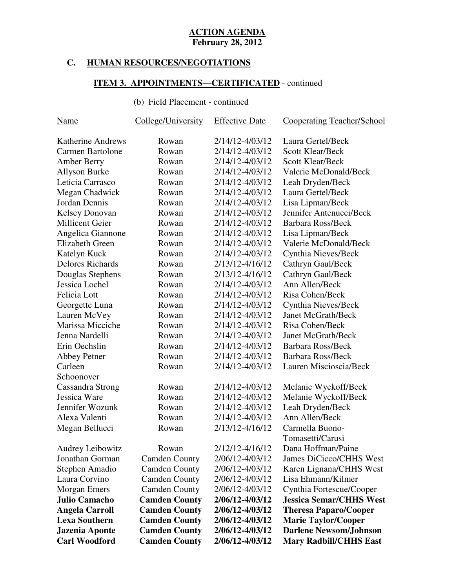# **C. HUMAN RESOURCES/NEGOTIATIONS**

#### **ITEM 3. APPOINTMENTS—CERTIFICATED** - continued

#### (b) Field Placement - continued

| <u>Name</u>              | College/University   | <b>Effective Date</b> | <b>Cooperating Teacher/School</b> |
|--------------------------|----------------------|-----------------------|-----------------------------------|
| <b>Katherine Andrews</b> | Rowan                | 2/14/12-4/03/12       | Laura Gertel/Beck                 |
| Carmen Bartolone         | Rowan                | 2/14/12-4/03/12       | <b>Scott Klear/Beck</b>           |
| <b>Amber Berry</b>       | Rowan                | 2/14/12-4/03/12       | <b>Scott Klear/Beck</b>           |
| <b>Allyson Burke</b>     | Rowan                | 2/14/12-4/03/12       | Valerie McDonald/Beck             |
| Leticia Carrasco         | Rowan                | 2/14/12-4/03/12       | Leah Dryden/Beck                  |
| Megan Chadwick           | Rowan                | 2/14/12-4/03/12       | Laura Gertel/Beck                 |
| Jordan Dennis            | Rowan                | 2/14/12-4/03/12       | Lisa Lipman/Beck                  |
| <b>Kelsey Donovan</b>    | Rowan                | 2/14/12-4/03/12       | Jennifer Antenucci/Beck           |
| <b>Millicent Geier</b>   | Rowan                | 2/14/12-4/03/12       | <b>Barbara Ross/Beck</b>          |
| Angelica Giannone        | Rowan                | 2/14/12-4/03/12       | Lisa Lipman/Beck                  |
| Elizabeth Green          | Rowan                | 2/14/12-4/03/12       | Valerie McDonald/Beck             |
| Katelyn Kuck             | Rowan                | 2/14/12-4/03/12       | Cynthia Nieves/Beck               |
| <b>Delores Richards</b>  | Rowan                | 2/13/12-4/16/12       | Cathryn Gaul/Beck                 |
| Douglas Stephens         | Rowan                | 2/13/12-4/16/12       | Cathryn Gaul/Beck                 |
| Jessica Lochel           | Rowan                | 2/14/12-4/03/12       | Ann Allen/Beck                    |
| Felicia Lott             | Rowan                | 2/14/12-4/03/12       | Risa Cohen/Beck                   |
| Georgette Luna           | Rowan                | 2/14/12-4/03/12       | Cynthia Nieves/Beck               |
| Lauren McVey             | Rowan                | 2/14/12-4/03/12       | <b>Janet McGrath/Beck</b>         |
| Marissa Micciche         | Rowan                | 2/14/12-4/03/12       | Risa Cohen/Beck                   |
| Jenna Nardelli           | Rowan                | 2/14/12-4/03/12       | <b>Janet McGrath/Beck</b>         |
| Erin Oechslin            | Rowan                | 2/14/12-4/03/12       | Barbara Ross/Beck                 |
| <b>Abbey Petner</b>      | Rowan                | 2/14/12-4/03/12       | <b>Barbara Ross/Beck</b>          |
| Carleen                  | Rowan                | 2/14/12-4/03/12       | Lauren Miscioscia/Beck            |
| Schoonover               |                      |                       |                                   |
| Cassandra Strong         | Rowan                | 2/14/12-4/03/12       | Melanie Wyckoff/Beck              |
| Jessica Ware             | Rowan                | 2/14/12-4/03/12       | Melanie Wyckoff/Beck              |
| Jennifer Wozunk          | Rowan                | 2/14/12-4/03/12       | Leah Dryden/Beck                  |
| Alexa Valenti            | Rowan                | 2/14/12-4/03/12       | Ann Allen/Beck                    |
| Megan Bellucci           | Rowan                | 2/13/12-4/16/12       | Carmella Buono-                   |
|                          |                      |                       | Tomasetti/Carusi                  |
| <b>Audrey Leibowitz</b>  | Rowan                | 2/12/12-4/16/12       | Dana Hoffman/Paine                |
| Jonathan Gorman          | <b>Camden County</b> | 2/06/12-4/03/12       | James DiCicco/CHHS West           |
| Stephen Amadio           | <b>Camden County</b> | 2/06/12-4/03/12       | Karen Lignana/CHHS West           |
| Laura Corvino            | <b>Camden County</b> | 2/06/12-4/03/12       | Lisa Ehmann/Kilmer                |
| <b>Morgan Emers</b>      | <b>Camden County</b> | 2/06/12-4/03/12       | Cynthia Fortescue/Cooper          |
| <b>Julio Camacho</b>     | <b>Camden County</b> | 2/06/12-4/03/12       | <b>Jessica Semar/CHHS West</b>    |
| <b>Angela Carroll</b>    | <b>Camden County</b> | 2/06/12-4/03/12       | <b>Theresa Paparo/Cooper</b>      |
| <b>Lexa Southern</b>     | <b>Camden County</b> | 2/06/12-4/03/12       | <b>Marie Taylor/Cooper</b>        |
| Jazenia Aponte           | <b>Camden County</b> | 2/06/12-4/03/12       | <b>Darlene Newsom/Johnson</b>     |
| <b>Carl Woodford</b>     | <b>Camden County</b> | 2/06/12-4/03/12       | <b>Mary Radbill/CHHS East</b>     |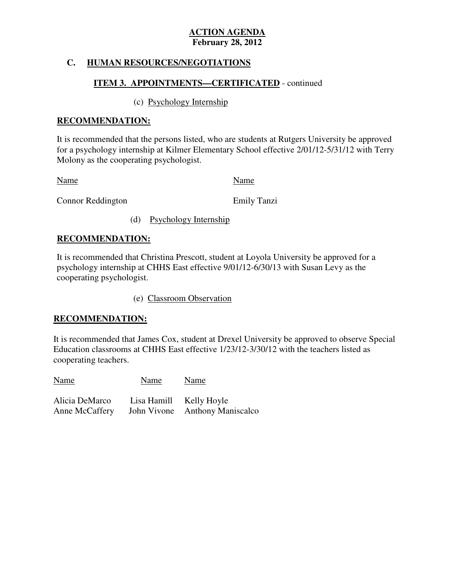# **C. HUMAN RESOURCES/NEGOTIATIONS**

# **ITEM 3. APPOINTMENTS—CERTIFICATED** - continued

# (c) Psychology Internship

# **RECOMMENDATION:**

 It is recommended that the persons listed, who are students at Rutgers University be approved for a psychology internship at Kilmer Elementary School effective 2/01/12-5/31/12 with Terry Molony as the cooperating psychologist.

Name Name Name

Connor Reddington **Emily Tanzi** 

(d) Psychology Internship

# **RECOMMENDATION:**

 It is recommended that Christina Prescott, student at Loyola University be approved for a psychology internship at CHHS East effective 9/01/12-6/30/13 with Susan Levy as the cooperating psychologist.

(e) Classroom Observation

# **RECOMMENDATION:**

 It is recommended that James Cox, student at Drexel University be approved to observe Special Education classrooms at CHHS East effective 1/23/12-3/30/12 with the teachers listed as cooperating teachers.

Name Name Name Alicia DeMarco Lisa Hamill Kelly Hoyle Anne McCaffery John Vivone Anthony Maniscalco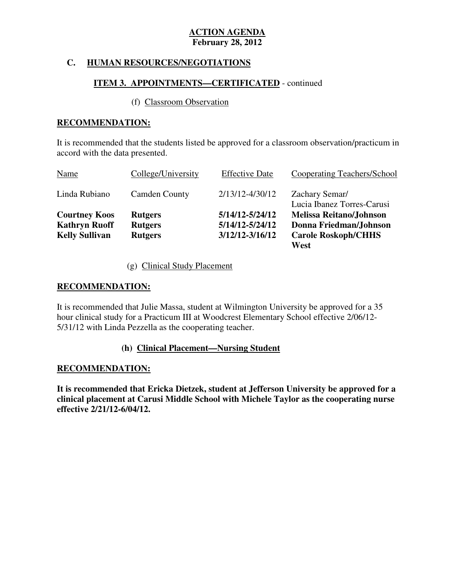# **C. HUMAN RESOURCES/NEGOTIATIONS**

# **ITEM 3. APPOINTMENTS—CERTIFICATED** - continued

# (f) Classroom Observation

# **RECOMMENDATION:**

 It is recommended that the students listed be approved for a classroom observation/practicum in accord with the data presented.

| Name                  | College/University   | <b>Effective Date</b> | Cooperating Teachers/School                  |
|-----------------------|----------------------|-----------------------|----------------------------------------------|
| Linda Rubiano         | <b>Camden County</b> | 2/13/12-4/30/12       | Zachary Semar/<br>Lucia Ibanez Torres-Carusi |
| <b>Courtney Koos</b>  | <b>Rutgers</b>       | 5/14/12-5/24/12       | <b>Melissa Reitano/Johnson</b>               |
| <b>Kathryn Ruoff</b>  | <b>Rutgers</b>       | 5/14/12-5/24/12       | Donna Friedman/Johnson                       |
| <b>Kelly Sullivan</b> | <b>Rutgers</b>       | $3/12/12 - 3/16/12$   | <b>Carole Roskoph/CHHS</b>                   |
|                       |                      |                       | West                                         |

(g) Clinical Study Placement

# **RECOMMENDATION:**

 It is recommended that Julie Massa, student at Wilmington University be approved for a 35 hour clinical study for a Practicum III at Woodcrest Elementary School effective 2/06/12 5/31/12 with Linda Pezzella as the cooperating teacher.

# **(h) Clinical Placement—Nursing Student**

# **RECOMMENDATION:**

 **It is recommended that Ericka Dietzek, student at Jefferson University be approved for a clinical placement at Carusi Middle School with Michele Taylor as the cooperating nurse effective 2/21/12-6/04/12.**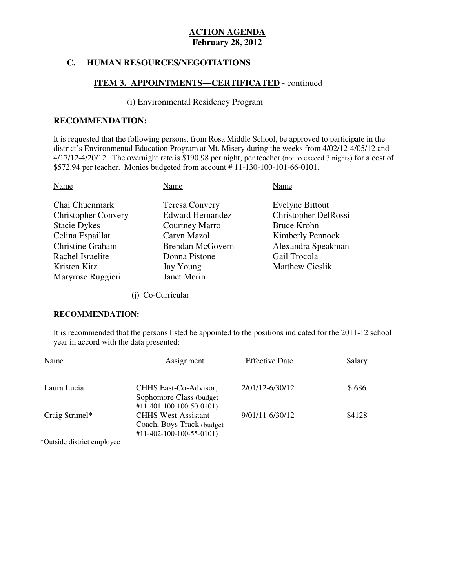# **C. HUMAN RESOURCES/NEGOTIATIONS**

# **ITEM 3. APPOINTMENTS—CERTIFICATED** - continued

#### (i) Environmental Residency Program

# **RECOMMENDATION:**

 It is requested that the following persons, from Rosa Middle School, be approved to participate in the district's Environmental Education Program at Mt. Misery during the weeks from 4/02/12-4/05/12 and 4/17/12-4/20/12. The overnight rate is \$190.98 per night, per teacher (not to exceed 3 nights) for a cost of \$572.94 per teacher. Monies budgeted from account # 11-130-100-101-66-0101.

| Name                                                                                                                                                                        | Name                                                                                                                                                             | Name                                                                                                                                                            |
|-----------------------------------------------------------------------------------------------------------------------------------------------------------------------------|------------------------------------------------------------------------------------------------------------------------------------------------------------------|-----------------------------------------------------------------------------------------------------------------------------------------------------------------|
| Chai Chuenmark<br><b>Christopher Convery</b><br><b>Stacie Dykes</b><br>Celina Espaillat<br><b>Christine Graham</b><br>Rachel Israelite<br>Kristen Kitz<br>Maryrose Ruggieri | <b>Teresa Convery</b><br><b>Edward Hernandez</b><br><b>Courtney Marro</b><br>Caryn Mazol<br><b>Brendan McGovern</b><br>Donna Pistone<br>Jay Young<br>Janet Merin | <b>Evelyne Bittout</b><br>Christopher DelRossi<br><b>Bruce Krohn</b><br><b>Kimberly Pennock</b><br>Alexandra Speakman<br>Gail Trocola<br><b>Matthew Cieslik</b> |
|                                                                                                                                                                             |                                                                                                                                                                  |                                                                                                                                                                 |

(j) Co-Curricular

#### **RECOMMENDATION:**

 It is recommended that the persons listed be appointed to the positions indicated for the 2011-12 school year in accord with the data presented:

| Name           | Assignment                                                                                       | <b>Effective Date</b> | <b>Salary</b> |
|----------------|--------------------------------------------------------------------------------------------------|-----------------------|---------------|
| Laura Lucia    | CHHS East-Co-Advisor,<br>Sophomore Class (budget)<br>$\#11 - 401 - 100 - 100 - 50 - 0101$        | 2/01/12-6/30/12       | \$686         |
| Craig Strimel* | <b>CHHS West-Assistant</b><br>Coach, Boys Track (budget)<br>$\#11 - 402 - 100 - 100 - 55 - 0101$ | 9/01/11-6/30/12       | \$4128        |
|                |                                                                                                  |                       |               |

\*Outside district employee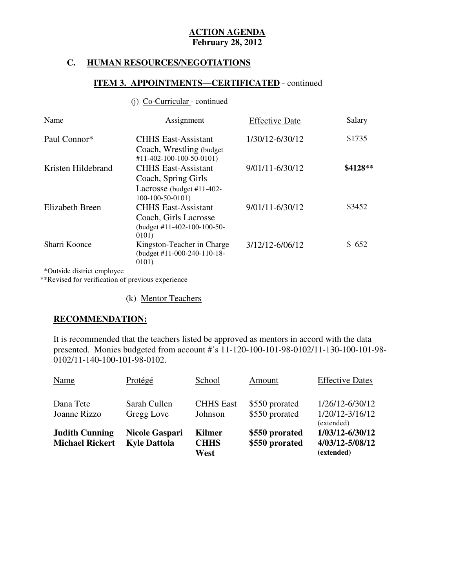# **C. HUMAN RESOURCES/NEGOTIATIONS**

# **ITEM 3. APPOINTMENTS—CERTIFICATED** - continued

#### (j) Co-Curricular - continued

| Name               | <b>Assignment</b>                                                                                   | <b>Effective Date</b> | Salary   |
|--------------------|-----------------------------------------------------------------------------------------------------|-----------------------|----------|
| Paul Connor*       | <b>CHHS East-Assistant</b><br>Coach, Wrestling (budget)<br>$#11-402-100-100-50-0101)$               | 1/30/12-6/30/12       | \$1735   |
| Kristen Hildebrand | <b>CHHS East-Assistant</b><br>Coach, Spring Girls<br>Lacrosse (budget #11-402-<br>$100-100-50-0101$ | 9/01/11-6/30/12       | \$4128** |
| Elizabeth Breen    | <b>CHHS East-Assistant</b><br>Coach, Girls Lacrosse<br>(budget $\#11-402-100-100-50-$<br>0101)      | 9/01/11-6/30/12       | \$3452   |
| Sharri Koonce      | Kingston-Teacher in Charge<br>(budget #11-000-240-110-18-<br>0101)                                  | 3/12/12-6/06/12       | \$652    |

\*Outside district employee

\*\*Revised for verification of previous experience

(k) Mentor Teachers

# **RECOMMENDATION:**

 It is recommended that the teachers listed be approved as mentors in accord with the data presented. Monies budgeted from account #'s 11-120-100-101-98-0102/11-130-100-101-98 0102/11-140-100-101-98-0102.

| Dana Tete<br>Joanne Rizzo                       | Sarah Cullen<br>Gregg Love                   | <b>CHHS East</b><br>Johnson   | \$550 prorated<br>\$550 prorated | 1/26/12-6/30/12<br>1/20/12-3/16/12<br>(extended) |
|-------------------------------------------------|----------------------------------------------|-------------------------------|----------------------------------|--------------------------------------------------|
| <b>Judith Cunning</b><br><b>Michael Rickert</b> | <b>Nicole Gaspari</b><br><b>Kyle Dattola</b> | Kilmer<br><b>CHHS</b><br>West | \$550 prorated<br>\$550 prorated | 1/03/12-6/30/12<br>4/03/12-5/08/12<br>(extended) |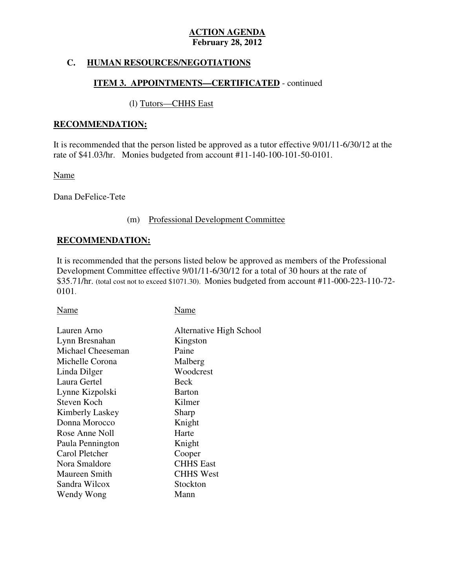# **C. HUMAN RESOURCES/NEGOTIATIONS**

# **ITEM 3. APPOINTMENTS—CERTIFICATED** - continued

# (l) Tutors—CHHS East

### **RECOMMENDATION:**

 It is recommended that the person listed be approved as a tutor effective 9/01/11-6/30/12 at the rate of \$41.03/hr. Monies budgeted from account #11-140-100-101-50-0101.

Name

Dana DeFelice-Tete

#### (m) Professional Development Committee

# **RECOMMENDATION:**

 It is recommended that the persons listed below be approved as members of the Professional Development Committee effective 9/01/11-6/30/12 for a total of 30 hours at the rate of \$35.71/hr. (total cost not to exceed \$1071.30). Monies budgeted from account #11-000-223-110-72 0101.

| Name              | Name                    |
|-------------------|-------------------------|
| Lauren Arno       | Alternative High School |
| Lynn Bresnahan    | Kingston                |
| Michael Cheeseman | Paine                   |
| Michelle Corona   | Malberg                 |
| Linda Dilger      | Woodcrest               |
| Laura Gertel      | Beck                    |
| Lynne Kizpolski   | <b>Barton</b>           |
| Steven Koch       | Kilmer                  |
| Kimberly Laskey   | Sharp                   |
| Donna Morocco     | Knight                  |
| Rose Anne Noll    | Harte                   |
| Paula Pennington  | Knight                  |
| Carol Pletcher    | Cooper                  |
| Nora Smaldore     | <b>CHHS</b> East        |
| Maureen Smith     | <b>CHHS West</b>        |
| Sandra Wilcox     | Stockton                |
| Wendy Wong        | Mann                    |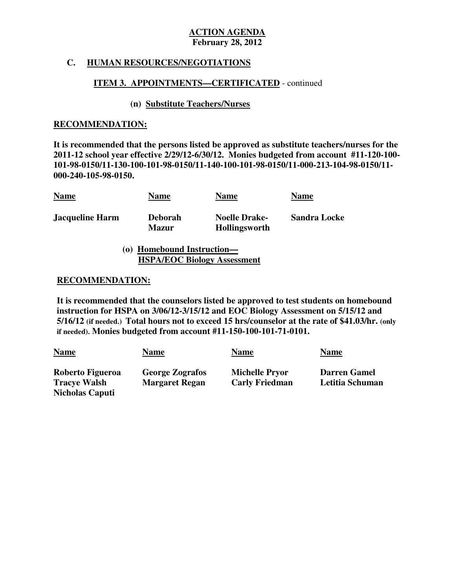# **C. HUMAN RESOURCES/NEGOTIATIONS**

# **ITEM 3. APPOINTMENTS—CERTIFICATED** - continued

# **(n) Substitute Teachers/Nurses**

### **RECOMMENDATION:**

 **It is recommended that the persons listed be approved as substitute teachers/nurses for the 2011-12 school year effective 2/29/12-6/30/12. Monies budgeted from account #11-120-100 101-98-0150/11-130-100-101-98-0150/11-140-100-101-98-0150/11-000-213-104-98-0150/11 000-240-105-98-0150.** 

| <b>Name</b>            | <b>Name</b>                    | <b>Name</b>                                  | <b>Name</b>         |
|------------------------|--------------------------------|----------------------------------------------|---------------------|
| <b>Jacqueline Harm</b> | <b>Deborah</b><br><b>Mazur</b> | <b>Noelle Drake-</b><br><b>Hollingsworth</b> | <b>Sandra Locke</b> |

**(o) Homebound Instruction— HSPA/EOC Biology Assessment** 

#### **RECOMMENDATION:**

 **It is recommended that the counselors listed be approved to test students on homebound instruction for HSPA on 3/06/12-3/15/12 and EOC Biology Assessment on 5/15/12 and 5/16/12 (if needed.) Total hours not to exceed 15 hrs/counselor at the rate of \$41.03/hr. (only if needed). Monies budgeted from account #11-150-100-101-71-0101.** 

| <b>Name</b>                             | <u>Name</u>                                     | <b>Name</b>                                    | <b>Name</b>                            |
|-----------------------------------------|-------------------------------------------------|------------------------------------------------|----------------------------------------|
| Roberto Figueroa<br><b>Tracye Walsh</b> | <b>George Zografos</b><br><b>Margaret Regan</b> | <b>Michelle Pryor</b><br><b>Carly Friedman</b> | <b>Darren Gamel</b><br>Letitia Schuman |
| <b>Nicholas Caputi</b>                  |                                                 |                                                |                                        |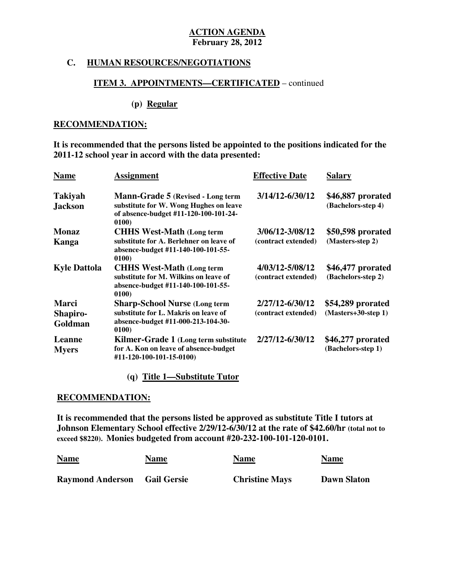#### **C. HUMAN RESOURCES/NEGOTIATIONS**

# **ITEM 3. APPOINTMENTS—CERTIFICATED** – continued

#### **(p) Regular**

#### **RECOMMENDATION:**

 **It is recommended that the persons listed be appointed to the positions indicated for the 2011-12 school year in accord with the data presented:** 

| <b>Name</b>                      | <b>Assignment</b>                                                                                                             | <b>Effective Date</b> | <b>Salary</b>                           |
|----------------------------------|-------------------------------------------------------------------------------------------------------------------------------|-----------------------|-----------------------------------------|
| <b>Takiyah</b><br><b>Jackson</b> | Mann-Grade 5 (Revised - Long term<br>substitute for W. Wong Hughes on leave<br>of absence-budget #11-120-100-101-24-<br>0100) | 3/14/12-6/30/12       | \$46,887 prorated<br>(Bachelors-step 4) |
| <b>Monaz</b>                     | <b>CHHS West-Math (Long term</b>                                                                                              | 3/06/12-3/08/12       | \$50,598 prorated                       |
| Kanga                            | substitute for A. Berlehner on leave of<br>absence-budget #11-140-100-101-55-<br>0100)                                        | (contract extended)   | (Masters-step 2)                        |
| <b>Kyle Dattola</b>              | <b>CHHS West-Math (Long term)</b>                                                                                             | 4/03/12-5/08/12       | \$46,477 prorated                       |
|                                  | substitute for M. Wilkins on leave of<br>absence-budget #11-140-100-101-55-<br>0100)                                          | (contract extended)   | (Bachelors-step 2)                      |
| <b>Marci</b>                     | <b>Sharp-School Nurse (Long term</b>                                                                                          | 2/27/12-6/30/12       | \$54,289 prorated                       |
| Shapiro-                         | substitute for L. Makris on leave of                                                                                          | (contract extended)   | $(Masters+30-step 1)$                   |
| Goldman                          | absence-budget #11-000-213-104-30-<br>0100)                                                                                   |                       |                                         |
| Leanne                           | Kilmer-Grade 1 (Long term substitute                                                                                          | 2/27/12-6/30/12       | \$46,277 prorated                       |
| <b>Myers</b>                     | for A. Kon on leave of absence-budget<br>#11-120-100-101-15-0100)                                                             |                       | (Bachelors-step 1)                      |
|                                  |                                                                                                                               |                       |                                         |

#### **(q) Title 1—Substitute Tutor**

#### **RECOMMENDATION:**

 **It is recommended that the persons listed be approved as substitute Title I tutors at Johnson Elementary School effective 2/29/12-6/30/12 at the rate of \$42.60/hr (total not to exceed \$8220). Monies budgeted from account #20-232-100-101-120-0101.** 

| <b>Name</b>             | Name               | <b>Name</b>           | <b>Name</b>        |
|-------------------------|--------------------|-----------------------|--------------------|
|                         |                    | $\sim$ $\sim$         |                    |
| <b>Raymond Anderson</b> | <b>Gail Gersie</b> | <b>Christine Mays</b> | <b>Dawn Slaton</b> |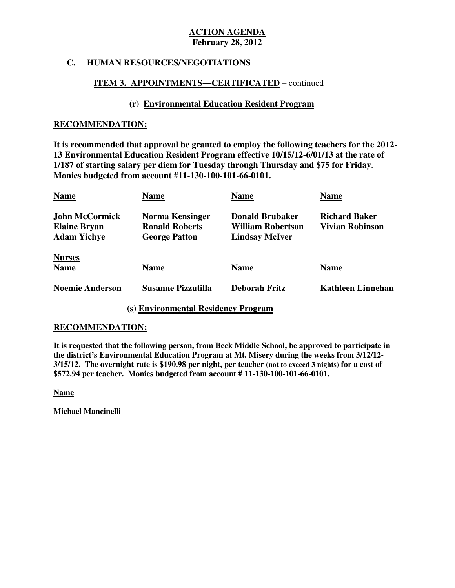# **C. HUMAN RESOURCES/NEGOTIATIONS**

# **ITEM 3. APPOINTMENTS—CERTIFICATED** – continued

# **(r) Environmental Education Resident Program**

### **RECOMMENDATION:**

 **It is recommended that approval be granted to employ the following teachers for the 2012 13 Environmental Education Resident Program effective 10/15/12-6/01/13 at the rate of 1/187 of starting salary per diem for Tuesday through Thursday and \$75 for Friday. Monies budgeted from account #11-130-100-101-66-0101.** 

| <b>Name</b>                                                        | Name                                                             | <b>Name</b>                                                          | <b>Name</b>                                    |
|--------------------------------------------------------------------|------------------------------------------------------------------|----------------------------------------------------------------------|------------------------------------------------|
| <b>John McCormick</b><br><b>Elaine Bryan</b><br><b>Adam Yichye</b> | Norma Kensinger<br><b>Ronald Roberts</b><br><b>George Patton</b> | <b>Donald Brubaker</b><br>William Robertson<br><b>Lindsay McIver</b> | <b>Richard Baker</b><br><b>Vivian Robinson</b> |
| <b>Nurses</b><br><b>Name</b>                                       | <b>Name</b>                                                      | <b>Name</b>                                                          | <b>Name</b>                                    |
| <b>Noemie Anderson</b>                                             | <b>Susanne Pizzutilla</b>                                        | <b>Deborah Fritz</b>                                                 | <b>Kathleen Linnehan</b>                       |

# **(s) Environmental Residency Program**

# **RECOMMENDATION:**

 **It is requested that the following person, from Beck Middle School, be approved to participate in the district's Environmental Education Program at Mt. Misery during the weeks from 3/12/12 3/15/12. The overnight rate is \$190.98 per night, per teacher (not to exceed 3 nights) for a cost of \$572.94 per teacher. Monies budgeted from account # 11-130-100-101-66-0101.** 

**Name** 

 **Michael Mancinelli**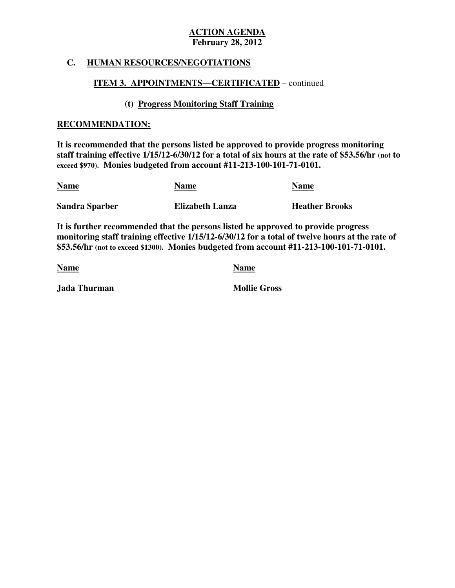# **C. HUMAN RESOURCES/NEGOTIATIONS**

# **ITEM 3. APPOINTMENTS—CERTIFICATED** – continued

# **(t) Progress Monitoring Staff Training**

#### **RECOMMENDATION:**

 **It is recommended that the persons listed be approved to provide progress monitoring staff training effective 1/15/12-6/30/12 for a total of six hours at the rate of \$53.56/hr (not to exceed \$970). Monies budgeted from account #11-213-100-101-71-0101.** 

| <b>Name</b>           | <b>Name</b>            | <b>Name</b>           |
|-----------------------|------------------------|-----------------------|
| <b>Sandra Sparber</b> | <b>Elizabeth Lanza</b> | <b>Heather Brooks</b> |

 **It is further recommended that the persons listed be approved to provide progress monitoring staff training effective 1/15/12-6/30/12 for a total of twelve hours at the rate of \$53.56/hr (not to exceed \$1300). Monies budgeted from account #11-213-100-101-71-0101.** 

**Name Name Name** 

*Jada Thurman* Mollie Gross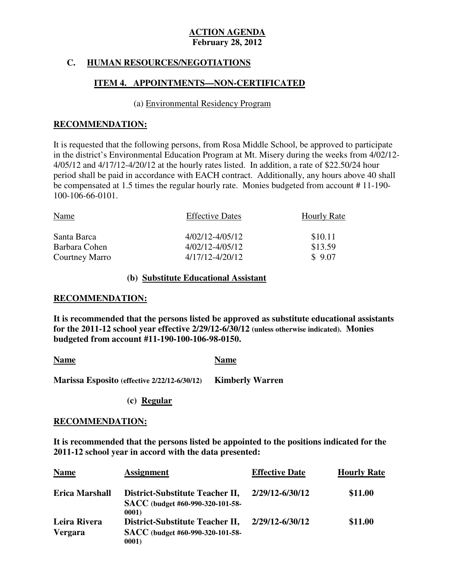# **C. HUMAN RESOURCES/NEGOTIATIONS**

# **ITEM 4. APPOINTMENTS—NON-CERTIFICATED**

#### (a) Environmental Residency Program

# **RECOMMENDATION:**

 It is requested that the following persons, from Rosa Middle School, be approved to participate in the district's Environmental Education Program at Mt. Misery during the weeks from 4/02/12 4/05/12 and 4/17/12-4/20/12 at the hourly rates listed. In addition, a rate of \$22.50/24 hour period shall be paid in accordance with EACH contract. Additionally, any hours above 40 shall be compensated at 1.5 times the regular hourly rate. Monies budgeted from account # 11-190 100-106-66-0101.

| Name           | <b>Effective Dates</b> | <b>Hourly Rate</b> |
|----------------|------------------------|--------------------|
| Santa Barca    | 4/02/12-4/05/12        | \$10.11            |
| Barbara Cohen  | $4/02/12 - 4/05/12$    | \$13.59            |
| Courtney Marro | 4/17/12-4/20/12        | \$9.07             |

# **(b) Substitute Educational Assistant**

### **RECOMMENDATION:**

 **It is recommended that the persons listed be approved as substitute educational assistants for the 2011-12 school year effective 2/29/12-6/30/12 (unless otherwise indicated). Monies budgeted from account #11-190-100-106-98-0150.** 

Name **Name Name** 

 **Marissa Esposito (effective 2/22/12-6/30/12) Kimberly Warren** 

**(c) Regular** 

#### **RECOMMENDATION:**

 **It is recommended that the persons listed be appointed to the positions indicated for the 2011-12 school year in accord with the data presented:** 

| <b>Name</b>                    | <b>Assignment</b>                                                            | <b>Effective Date</b> | <b>Hourly Rate</b> |
|--------------------------------|------------------------------------------------------------------------------|-----------------------|--------------------|
| <b>Erica Marshall</b>          | District-Substitute Teacher II,<br>SACC (budget #60-990-320-101-58-<br>0001) | 2/29/12-6/30/12       | \$11.00            |
| Leira Rivera<br><b>Vergara</b> | District-Substitute Teacher II,<br>SACC (budget #60-990-320-101-58-<br>0001) | 2/29/12-6/30/12       | \$11.00            |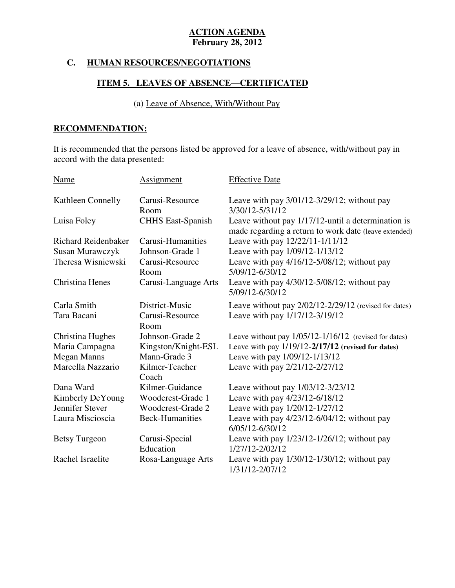# **C. HUMAN RESOURCES/NEGOTIATIONS**

# **ITEM 5. LEAVES OF ABSENCE—CERTIFICATED**

# (a) Leave of Absence, With/Without Pay

# **RECOMMENDATION:**

 It is recommended that the persons listed be approved for a leave of absence, with/without pay in accord with the data presented:

| Name                       | Assignment                  | <b>Effective Date</b>                                                                                       |
|----------------------------|-----------------------------|-------------------------------------------------------------------------------------------------------------|
| Kathleen Connelly          | Carusi-Resource<br>Room     | Leave with pay $3/01/12 - 3/29/12$ ; without pay<br>3/30/12-5/31/12                                         |
| Luisa Foley                | <b>CHHS East-Spanish</b>    | Leave without pay 1/17/12-until a determination is<br>made regarding a return to work date (leave extended) |
| <b>Richard Reidenbaker</b> | Carusi-Humanities           | Leave with pay 12/22/11-1/11/12                                                                             |
| Susan Murawczyk            | Johnson-Grade 1             | Leave with pay 1/09/12-1/13/12                                                                              |
| Theresa Wisniewski         | Carusi-Resource<br>Room     | Leave with pay 4/16/12-5/08/12; without pay<br>5/09/12-6/30/12                                              |
| Christina Henes            | Carusi-Language Arts        | Leave with pay $4/30/12 - 5/08/12$ ; without pay<br>5/09/12-6/30/12                                         |
| Carla Smith                | District-Music              | Leave without pay 2/02/12-2/29/12 (revised for dates)                                                       |
| Tara Bacani                | Carusi-Resource<br>Room     | Leave with pay 1/17/12-3/19/12                                                                              |
| Christina Hughes           | Johnson-Grade 2             | Leave without pay $1/05/12 - 1/16/12$ (revised for dates)                                                   |
| Maria Campagna             | Kingston/Knight-ESL         | Leave with pay $1/19/12 - 2/17/12$ (revised for dates)                                                      |
| <b>Megan Manns</b>         | Mann-Grade 3                | Leave with pay 1/09/12-1/13/12                                                                              |
| Marcella Nazzario          | Kilmer-Teacher<br>Coach     | Leave with pay 2/21/12-2/27/12                                                                              |
| Dana Ward                  | Kilmer-Guidance             | Leave without pay 1/03/12-3/23/12                                                                           |
| Kimberly DeYoung           | Woodcrest-Grade 1           | Leave with pay 4/23/12-6/18/12                                                                              |
| Jennifer Stever            | Woodcrest-Grade 2           | Leave with pay 1/20/12-1/27/12                                                                              |
| Laura Miscioscia           | <b>Beck-Humanities</b>      | Leave with pay 4/23/12-6/04/12; without pay<br>6/05/12-6/30/12                                              |
| <b>Betsy Turgeon</b>       | Carusi-Special<br>Education | Leave with pay $1/23/12 - 1/26/12$ ; without pay<br>1/27/12-2/02/12                                         |
| Rachel Israelite           | Rosa-Language Arts          | Leave with pay $1/30/12 - 1/30/12$ ; without pay<br>1/31/12-2/07/12                                         |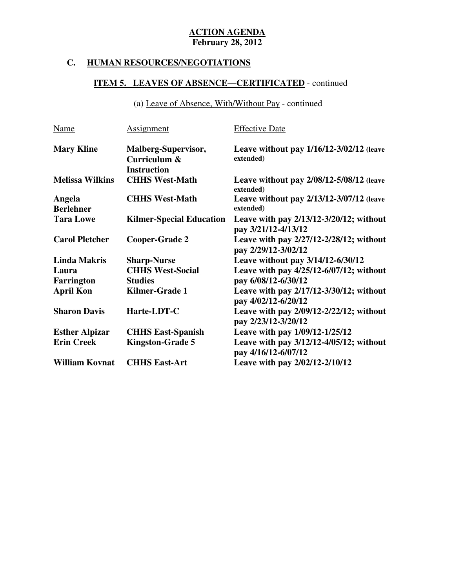# **C. HUMAN RESOURCES/NEGOTIATIONS**

# **ITEM 5. LEAVES OF ABSENCE—CERTIFICATED** - continued

(a) Leave of Absence, With/Without Pay - continued

| <b>Name</b>                | <b>Assignment</b>                                         | <b>Effective Date</b>                                               |
|----------------------------|-----------------------------------------------------------|---------------------------------------------------------------------|
| <b>Mary Kline</b>          | Malberg-Supervisor,<br>Curriculum &<br><b>Instruction</b> | Leave without pay $1/16/12-3/02/12$ (leave<br>extended)             |
| <b>Melissa Wilkins</b>     | <b>CHHS West-Math</b>                                     | Leave without pay 2/08/12-5/08/12 (leave<br>extended)               |
| Angela<br><b>Berlehner</b> | <b>CHHS West-Math</b>                                     | Leave without pay 2/13/12-3/07/12 (leave<br>extended)               |
| <b>Tara Lowe</b>           | <b>Kilmer-Special Education</b>                           | Leave with pay 2/13/12-3/20/12; without<br>pay 3/21/12-4/13/12      |
| <b>Carol Pletcher</b>      | <b>Cooper-Grade 2</b>                                     | Leave with pay $2/27/12 - 2/28/12$ ; without<br>pay 2/29/12-3/02/12 |
| <b>Linda Makris</b>        | <b>Sharp-Nurse</b>                                        | Leave without pay 3/14/12-6/30/12                                   |
| Laura                      | <b>CHHS West-Social</b>                                   | Leave with pay $4/25/12 - 6/07/12$ ; without                        |
| <b>Farrington</b>          | <b>Studies</b>                                            | pay 6/08/12-6/30/12                                                 |
| <b>April Kon</b>           | Kilmer-Grade 1                                            | Leave with pay 2/17/12-3/30/12; without<br>pay 4/02/12-6/20/12      |
| <b>Sharon Davis</b>        | Harte-LDT-C                                               | Leave with pay $2/09/12 - 2/22/12$ ; without<br>pay 2/23/12-3/20/12 |
| <b>Esther Alpizar</b>      | <b>CHHS East-Spanish</b>                                  | Leave with pay 1/09/12-1/25/12                                      |
| <b>Erin Creek</b>          | <b>Kingston-Grade 5</b>                                   | Leave with pay 3/12/12-4/05/12; without<br>pay 4/16/12-6/07/12      |
| <b>William Kovnat</b>      | <b>CHHS East-Art</b>                                      | Leave with pay 2/02/12-2/10/12                                      |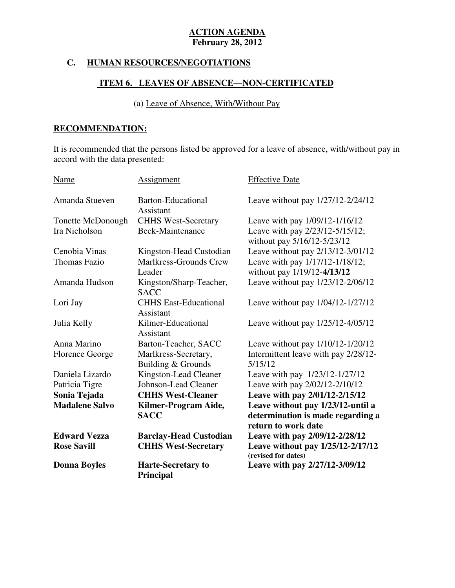# **C. HUMAN RESOURCES/NEGOTIATIONS**

# **ITEM 6. LEAVES OF ABSENCE—NON-CERTIFICATED**

# (a) Leave of Absence, With/Without Pay

# **RECOMMENDATION:**

 It is recommended that the persons listed be approved for a leave of absence, with/without pay in accord with the data presented:

| Name                   | Assignment                                    | <b>Effective Date</b>                                                                         |
|------------------------|-----------------------------------------------|-----------------------------------------------------------------------------------------------|
| Amanda Stueven         | <b>Barton-Educational</b><br>Assistant        | Leave without pay 1/27/12-2/24/12                                                             |
| Tonette McDonough      | <b>CHHS West-Secretary</b>                    | Leave with pay 1/09/12-1/16/12                                                                |
| Ira Nicholson          | Beck-Maintenance                              | Leave with pay 2/23/12-5/15/12;<br>without pay 5/16/12-5/23/12                                |
| Cenobia Vinas          | Kingston-Head Custodian                       | Leave without pay 2/13/12-3/01/12                                                             |
| Thomas Fazio           | Marlkress-Grounds Crew                        | Leave with pay 1/17/12-1/18/12;                                                               |
|                        | Leader                                        | without pay 1/19/12-4/13/12                                                                   |
| Amanda Hudson          | Kingston/Sharp-Teacher,<br><b>SACC</b>        | Leave without pay 1/23/12-2/06/12                                                             |
| Lori Jay               | <b>CHHS East-Educational</b><br>Assistant     | Leave without pay 1/04/12-1/27/12                                                             |
| Julia Kelly            | Kilmer-Educational<br>Assistant               | Leave without pay 1/25/12-4/05/12                                                             |
| Anna Marino            | Barton-Teacher, SACC                          | Leave without pay $1/10/12 - 1/20/12$                                                         |
| <b>Florence George</b> | Marlkress-Secretary,<br>Building & Grounds    | Intermittent leave with pay 2/28/12-<br>5/15/12                                               |
| Daniela Lizardo        | Kingston-Lead Cleaner                         | Leave with pay 1/23/12-1/27/12                                                                |
| Patricia Tigre         | Johnson-Lead Cleaner                          | Leave with pay 2/02/12-2/10/12                                                                |
| Sonia Tejada           | <b>CHHS West-Cleaner</b>                      | Leave with pay 2/01/12-2/15/12                                                                |
| <b>Madalene Salvo</b>  | Kilmer-Program Aide,<br><b>SACC</b>           | Leave without pay 1/23/12-until a<br>determination is made regarding a<br>return to work date |
| <b>Edward Vezza</b>    | <b>Barclay-Head Custodian</b>                 | Leave with pay 2/09/12-2/28/12                                                                |
| <b>Rose Savill</b>     | <b>CHHS West-Secretary</b>                    | Leave without pay 1/25/12-2/17/12<br>(revised for dates)                                      |
| <b>Donna Boyles</b>    | <b>Harte-Secretary to</b><br><b>Principal</b> | Leave with pay 2/27/12-3/09/12                                                                |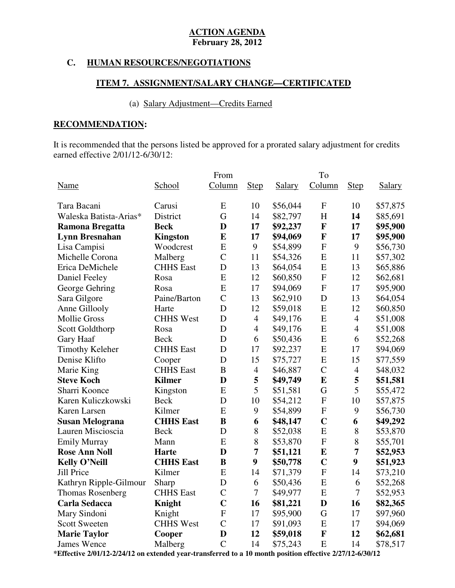# **C. HUMAN RESOURCES/NEGOTIATIONS**

# **ITEM 7. ASSIGNMENT/SALARY CHANGE—CERTIFICATED**

# (a) Salary Adjustment—Credits Earned

# **RECOMMENDATION:**

 It is recommended that the persons listed be approved for a prorated salary adjustment for credits earned effective 2/01/12-6/30/12:

|                         |                  | From           |                |          | To             |                |               |
|-------------------------|------------------|----------------|----------------|----------|----------------|----------------|---------------|
| Name                    | School           | Column         | <b>Step</b>    | Salary   | Column         | <b>Step</b>    | <b>Salary</b> |
| Tara Bacani             | Carusi           | E              | 10             | \$56,044 | $\mathbf{F}$   | 10             | \$57,875      |
| Waleska Batista-Arias*  | District         | G              | 14             | \$82,797 | H              | 14             | \$85,691      |
| <b>Ramona Bregatta</b>  | <b>Beck</b>      | D              | 17             | \$92,237 | $\mathbf F$    | 17             | \$95,900      |
| <b>Lynn Bresnahan</b>   | <b>Kingston</b>  | E              | 17             | \$94,069 | $\mathbf F$    | 17             | \$95,900      |
| Lisa Campisi            | Woodcrest        | E              | 9              | \$54,899 | $\mathbf{F}$   | 9              | \$56,730      |
| Michelle Corona         | Malberg          | $\overline{C}$ | 11             | \$54,326 | ${\bf E}$      | 11             | \$57,302      |
| Erica DeMichele         | <b>CHHS</b> East | D              | 13             | \$64,054 | E              | 13             | \$65,886      |
| Daniel Feeley           | Rosa             | E              | 12             | \$60,850 | ${\bf F}$      | 12             | \$62,681      |
| George Gehring          | Rosa             | E              | 17             | \$94,069 | ${\bf F}$      | 17             | \$95,900      |
| Sara Gilgore            | Paine/Barton     | $\mathcal{C}$  | 13             | \$62,910 | D              | 13             | \$64,054      |
| Anne Gillooly           | Harte            | D              | 12             | \$59,018 | E              | 12             | \$60,850      |
| <b>Mollie Gross</b>     | <b>CHHS West</b> | D              | $\overline{4}$ | \$49,176 | E              | $\overline{4}$ | \$51,008      |
| Scott Goldthorp         | Rosa             | D              | $\overline{4}$ | \$49,176 | E              | $\overline{4}$ | \$51,008      |
| Gary Haaf               | <b>Beck</b>      | D              | 6              | \$50,436 | E              | 6              | \$52,268      |
| <b>Timothy Keleher</b>  | <b>CHHS</b> East | D              | 17             | \$92,237 | ${\bf E}$      | 17             | \$94,069      |
| Denise Klifto           | Cooper           | D              | 15             | \$75,727 | ${\bf E}$      | 15             | \$77,559      |
| Marie King              | <b>CHHS</b> East | B              | $\overline{4}$ | \$46,887 | $\overline{C}$ | $\overline{4}$ | \$48,032      |
| <b>Steve Koch</b>       | <b>Kilmer</b>    | D              | 5              | \$49,749 | ${\bf E}$      | 5              | \$51,581      |
| Sharri Koonce           | Kingston         | E              | 5              | \$51,581 | G              | 5              | \$55,472      |
| Karen Kuliczkowski      | <b>Beck</b>      | D              | 10             | \$54,212 | ${\bf F}$      | 10             | \$57,875      |
| Karen Larsen            | Kilmer           | E              | 9              | \$54,899 | $\overline{F}$ | 9              | \$56,730      |
| <b>Susan Melograna</b>  | <b>CHHS East</b> | B              | 6              | \$48,147 | $\mathbf C$    | 6              | \$49,292      |
| Lauren Miscioscia       | <b>Beck</b>      | D              | 8              | \$52,038 | ${\bf E}$      | 8              | \$53,870      |
| <b>Emily Murray</b>     | Mann             | E              | 8              | \$53,870 | ${\bf F}$      | 8              | \$55,701      |
| <b>Rose Ann Noll</b>    | <b>Harte</b>     | D              | 7              | \$51,121 | $\bf{E}$       | 7              | \$52,953      |
| <b>Kelly O'Neill</b>    | <b>CHHS East</b> | B              | 9              | \$50,778 | $\mathbf C$    | 9              | \$51,923      |
| <b>Jill Price</b>       | Kilmer           | E              | 14             | \$71,379 | $\mathbf{F}$   | 14             | \$73,210      |
| Kathryn Ripple-Gilmour  | Sharp            | D              | 6              | \$50,436 | E              | 6              | \$52,268      |
| <b>Thomas Rosenberg</b> | <b>CHHS</b> East | $\mathcal{C}$  | $\tau$         | \$49,977 | E              | 7              | \$52,953      |
| <b>Carla Sedacca</b>    | Knight           | $\mathbf C$    | 16             | \$81,221 | D              | 16             | \$82,365      |
| Mary Sindoni            | Knight           | ${\bf F}$      | 17             | \$95,900 | G              | 17             | \$97,960      |
| <b>Scott Sweeten</b>    | <b>CHHS West</b> | $\overline{C}$ | 17             | \$91,093 | E              | 17             | \$94,069      |
| <b>Marie Taylor</b>     | Cooper           | D              | 12             | \$59,018 | $\mathbf F$    | 12             | \$62,681      |
| <b>James Wence</b>      | Malberg          | $\overline{C}$ | 14             | \$75,243 | E              | 14             | \$78,517      |

 **\*Effective 2/01/12-2/24/12 on extended year-transferred to a 10 month position effective 2/27/12-6/30/12**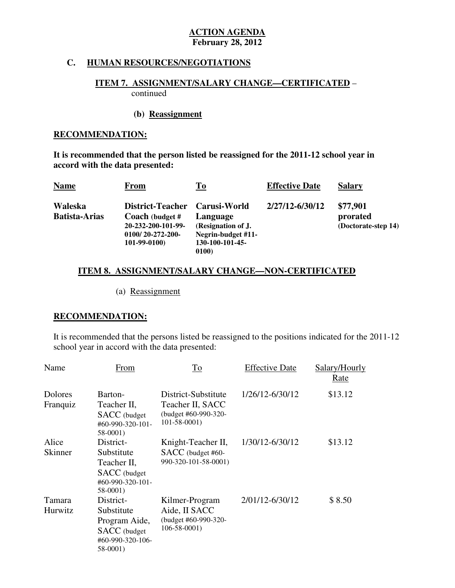### **C. HUMAN RESOURCES/NEGOTIATIONS**

# **ITEM 7. ASSIGNMENT/SALARY CHANGE—CERTIFICATED** – continued

#### **(b) Reassignment**

#### **RECOMMENDATION:**

 **It is recommended that the person listed be reassigned for the 2011-12 school year in accord with the data presented:** 

| <b>Name</b>                     | From                                                                                                | <u>To</u>                                                                                      | <b>Effective Date</b> | <b>Salary</b>                               |
|---------------------------------|-----------------------------------------------------------------------------------------------------|------------------------------------------------------------------------------------------------|-----------------------|---------------------------------------------|
| Waleska<br><b>Batista-Arias</b> | District-Teacher<br>Coach (budget #<br>20-232-200-101-99-<br>$0100/20 - 272 - 200$<br>$101-99-0100$ | <b>Carusi-World</b><br>Language<br>(Resignation of J.<br>Negrin-budget #11-<br>130-100-101-45- | 2/27/12-6/30/12       | \$77,901<br>prorated<br>(Doctorate-step 14) |
|                                 |                                                                                                     | 0100)                                                                                          |                       |                                             |

# **ITEM 8. ASSIGNMENT/SALARY CHANGE—NON-CERTIFICATED**

(a) Reassignment

# **RECOMMENDATION:**

 It is recommended that the persons listed be reassigned to the positions indicated for the 2011-12 school year in accord with the data presented:

| Name                    | From                                                                                     | To                                                                                   | <b>Effective Date</b> | Salary/Hourly<br>Rate |
|-------------------------|------------------------------------------------------------------------------------------|--------------------------------------------------------------------------------------|-----------------------|-----------------------|
| Dolores<br>Franquiz     | Barton-<br>Teacher II,<br>SACC (budget<br>$\#60 - 990 - 320 - 101 -$<br>58-0001)         | District-Substitute<br>Teacher II, SACC<br>(budget #60-990-320-<br>$101 - 58 - 0001$ | 1/26/12-6/30/12       | \$13.12               |
| Alice<br><b>Skinner</b> | District-<br>Substitute<br>Teacher II,<br>SACC (budget<br>#60-990-320-101-<br>58-0001)   | Knight-Teacher II,<br>SACC (budget #60-<br>990-320-101-58-0001)                      | 1/30/12-6/30/12       | \$13.12               |
| Tamara<br>Hurwitz       | District-<br>Substitute<br>Program Aide,<br>SACC (budget<br>#60-990-320-106-<br>58-0001) | Kilmer-Program<br>Aide, II SACC<br>(budget #60-990-320-<br>$106 - 58 - 0001$         | 2/01/12-6/30/12       | \$8.50                |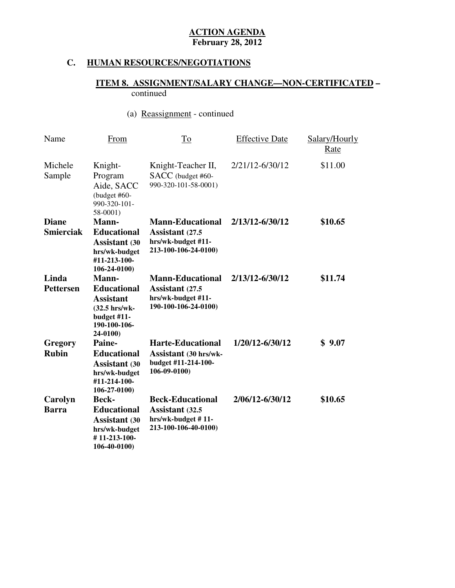# **C. HUMAN RESOURCES/NEGOTIATIONS**

# **ITEM 8. ASSIGNMENT/SALARY CHANGE—NON-CERTIFICATED –**  continued

# (a) Reassignment - continued

| Name                             | <b>From</b>                                                                                                 | <u>To</u>                                                                                       | <b>Effective Date</b> | Salary/Hourly<br><u>Rate</u> |
|----------------------------------|-------------------------------------------------------------------------------------------------------------|-------------------------------------------------------------------------------------------------|-----------------------|------------------------------|
| Michele<br>Sample                | Knight-<br>Program<br>Aide, SACC<br>(budget #60-<br>990-320-101-<br>$58-0001$                               | Knight-Teacher II,<br>SACC (budget #60-<br>990-320-101-58-0001)                                 | 2/21/12-6/30/12       | \$11.00                      |
| <b>Diane</b><br><b>Smierciak</b> | Mann-<br><b>Educational</b><br><b>Assistant</b> (30<br>hrs/wk-budget<br>#11-213-100-<br>$106 - 24 - 0100$   | <b>Mann-Educational</b><br>Assistant (27.5<br>hrs/wk-budget #11-<br>213-100-106-24-0100)        | 2/13/12-6/30/12       | \$10.65                      |
| Linda<br><b>Pettersen</b>        | Mann-<br><b>Educational</b><br><b>Assistant</b><br>(32.5 hrs/wk-<br>budget #11-<br>190-100-106-<br>24-0100) | <b>Mann-Educational</b><br>Assistant (27.5<br>hrs/wk-budget #11-<br>190-100-106-24-0100)        | 2/13/12-6/30/12       | \$11.74                      |
| Gregory<br><b>Rubin</b>          | Paine-<br><b>Educational</b><br><b>Assistant</b> (30<br>hrs/wk-budget<br>#11-214-100-<br>$106 - 27 - 0100$  | <b>Harte-Educational</b><br><b>Assistant</b> (30 hrs/wk-<br>budget #11-214-100-<br>106-09-0100) | 1/20/12-6/30/12       | \$9.07                       |
| Carolyn<br><b>Barra</b>          | <b>Beck-</b><br><b>Educational</b><br><b>Assistant</b> (30<br>hrs/wk-budget<br>#11-213-100-<br>106-40-0100) | <b>Beck-Educational</b><br>Assistant (32.5<br>hrs/wk-budget #11-<br>213-100-106-40-0100)        | 2/06/12-6/30/12       | \$10.65                      |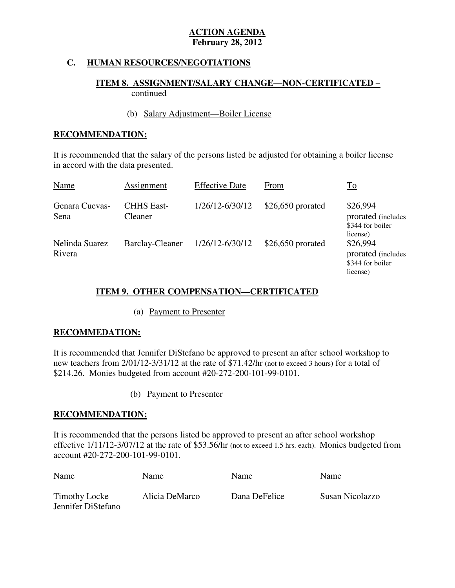# **C. HUMAN RESOURCES/NEGOTIATIONS**

# **ITEM 8. ASSIGNMENT/SALARY CHANGE—NON-CERTIFICATED –**  continued

# (b) Salary Adjustment—Boiler License

# **RECOMMENDATION:**

 It is recommended that the salary of the persons listed be adjusted for obtaining a boiler license in accord with the data presented.

| Name                     | Assignment                   | <b>Effective Date</b> | From               | $\underline{\operatorname{To}}$                                |
|--------------------------|------------------------------|-----------------------|--------------------|----------------------------------------------------------------|
| Genara Cuevas-<br>Sena   | <b>CHHS East-</b><br>Cleaner | 1/26/12-6/30/12       | $$26,650$ prorated | \$26,994<br>prorated (includes<br>\$344 for boiler<br>license) |
| Nelinda Suarez<br>Rivera | <b>Barclay-Cleaner</b>       | 1/26/12-6/30/12       | $$26,650$ prorated | \$26,994<br>prorated (includes<br>\$344 for boiler<br>license) |

# **ITEM 9. OTHER COMPENSATION—CERTIFICATED**

# (a) Payment to Presenter

# **RECOMMEDATION:**

 It is recommended that Jennifer DiStefano be approved to present an after school workshop to new teachers from 2/01/12-3/31/12 at the rate of \$71.42/hr (not to exceed 3 hours) for a total of \$214.26. Monies budgeted from account #20-272-200-101-99-0101.

# (b) Payment to Presenter

# **RECOMMENDATION:**

 It is recommended that the persons listed be approved to present an after school workshop effective 1/11/12-3/07/12 at the rate of \$53.56/hr (not to exceed 1.5 hrs. each). Monies budgeted from account #20-272-200-101-99-0101.

| <b>Name</b>                         | Name           | Name          | Name            |
|-------------------------------------|----------------|---------------|-----------------|
| Timothy Locke<br>Jennifer DiStefano | Alicia DeMarco | Dana DeFelice | Susan Nicolazzo |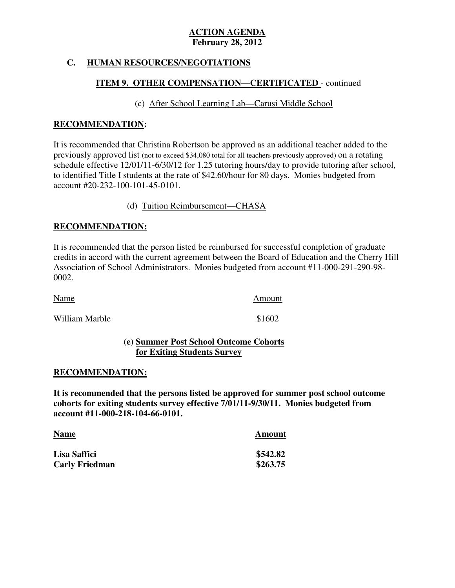# **C. HUMAN RESOURCES/NEGOTIATIONS**

# **ITEM 9. OTHER COMPENSATION—CERTIFICATED** - continued

# (c) After School Learning Lab—Carusi Middle School

# **RECOMMENDATION:**

 It is recommended that Christina Robertson be approved as an additional teacher added to the previously approved list (not to exceed \$34,080 total for all teachers previously approved) on a rotating schedule effective 12/01/11-6/30/12 for 1.25 tutoring hours/day to provide tutoring after school, to identified Title I students at the rate of \$42.60/hour for 80 days. Monies budgeted from account #20-232-100-101-45-0101.  account #20-232-100-101-45-0101. (d) Tuition Reimbursement—CHASA

# **RECOMMENDATION:**

 It is recommended that the person listed be reimbursed for successful completion of graduate credits in accord with the current agreement between the Board of Education and the Cherry Hill Association of School Administrators. Monies budgeted from account #11-000-291-290-98 0002.

| <b>Name</b>    | Amount |
|----------------|--------|
| William Marble | \$1602 |

# **(e) Summer Post School Outcome Cohorts for Exiting Students Survey**

# **RECOMMENDATION:**

RECOMMENDATION:<br>It is recommended that the persons listed be approved for summer post school outcome  **cohorts for exiting students survey effective 7/01/11-9/30/11. Monies budgeted from account #11-000-218-104-66-0101.** 

| <b>Name</b>           | Amount   |
|-----------------------|----------|
| Lisa Saffici          | \$542.82 |
| <b>Carly Friedman</b> | \$263.75 |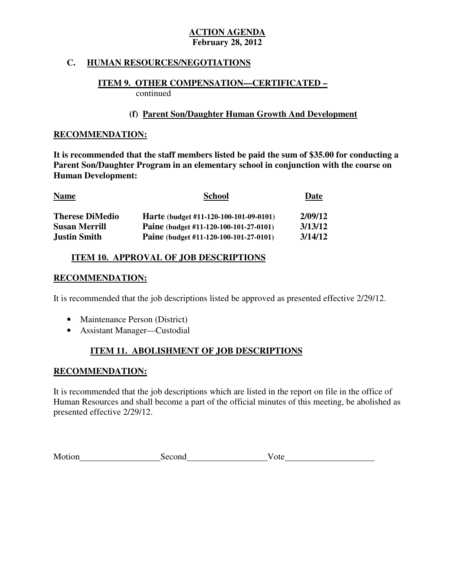# **C. HUMAN RESOURCES/NEGOTIATIONS**

# **ITEM 9. OTHER COMPENSATION—CERTIFICATED –**  continued

# **(f) Parent Son/Daughter Human Growth And Development**

# **RECOMMENDATION:**

 **It is recommended that the staff members listed be paid the sum of \$35.00 for conducting a Parent Son/Daughter Program in an elementary school in conjunction with the course on Human Development:** 

| <b>Name</b>            | <b>School</b>                          | Date    |  |
|------------------------|----------------------------------------|---------|--|
| <b>Therese DiMedio</b> | Harte (budget #11-120-100-101-09-0101) | 2/09/12 |  |
| <b>Susan Merrill</b>   | Paine (budget #11-120-100-101-27-0101) | 3/13/12 |  |
| <b>Justin Smith</b>    | Paine (budget #11-120-100-101-27-0101) | 3/14/12 |  |

# **ITEM 10. APPROVAL OF JOB DESCRIPTIONS**

# **RECOMMENDATION:**

It is recommended that the job descriptions listed be approved as presented effective 2/29/12.

- Maintenance Person (District)
- Assistant Manager—Custodial

# **ITEM 11. ABOLISHMENT OF JOB DESCRIPTIONS**

# **RECOMMENDATION:**

 It is recommended that the job descriptions which are listed in the report on file in the office of Human Resources and shall become a part of the official minutes of this meeting, be abolished as presented effective 2/29/12.

| Motion | Second | υιτ |
|--------|--------|-----|
|        |        |     |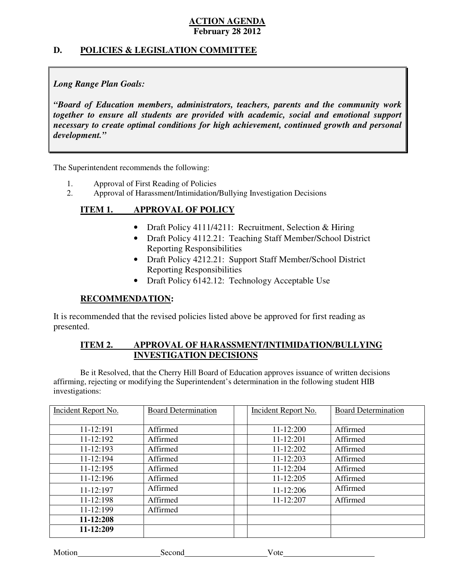# **D. POLICIES & LEGISLATION COMMITTEE**

# *Long Range Plan Goals:*

 *"Board of Education members, administrators, teachers, parents and the community work together to ensure all students are provided with academic, social and emotional support necessary to create optimal conditions for high achievement, continued growth and personal development."* 

The Superintendent recommends the following:

- 1. Approval of First Reading of Policies
- 2. Approval of Harassment/Intimidation/Bullying Investigation Decisions

# **ITEM 1. APPROVAL OF POLICY**

- Draft Policy 4111/4211: Recruitment, Selection & Hiring
- Draft Policy 4112.21: Teaching Staff Member/School District Reporting Responsibilities
- Draft Policy 4212.21: Support Staff Member/School District Reporting Responsibilities
- Draft Policy 6142.12: Technology Acceptable Use

# **RECOMMENDATION:**

 It is recommended that the revised policies listed above be approved for first reading as presented.

#### **ITEM 2.** APPROVAL OF HARASSMENT/INTIMIDATION/BULLYING **INVESTIGATION DECISIONS**

 affirming, rejecting or modifying the Superintendent's determination in the following student HIB Be it Resolved, that the Cherry Hill Board of Education approves issuance of written decisions investigations:

| <b>Incident Report No.</b> | <b>Board Determination</b> | Incident Report No. | <b>Board Determination</b> |
|----------------------------|----------------------------|---------------------|----------------------------|
|                            |                            |                     |                            |
| $11 - 12:191$              | Affirmed                   | 11-12:200           | Affirmed                   |
| $11 - 12:192$              | Affirmed                   | 11-12:201           | Affirmed                   |
| 11-12:193                  | Affirmed                   | 11-12:202           | Affirmed                   |
| 11-12:194                  | Affirmed                   | 11-12:203           | Affirmed                   |
| $11 - 12:195$              | Affirmed                   | 11-12:204           | Affirmed                   |
| 11-12:196                  | Affirmed                   | 11-12:205           | Affirmed                   |
| 11-12:197                  | Affirmed                   | 11-12:206           | Affirmed                   |
| $11 - 12:198$              | Affirmed                   | 11-12:207           | Affirmed                   |
| 11-12:199                  | Affirmed                   |                     |                            |
| 11-12:208                  |                            |                     |                            |
| 11-12:209                  |                            |                     |                            |